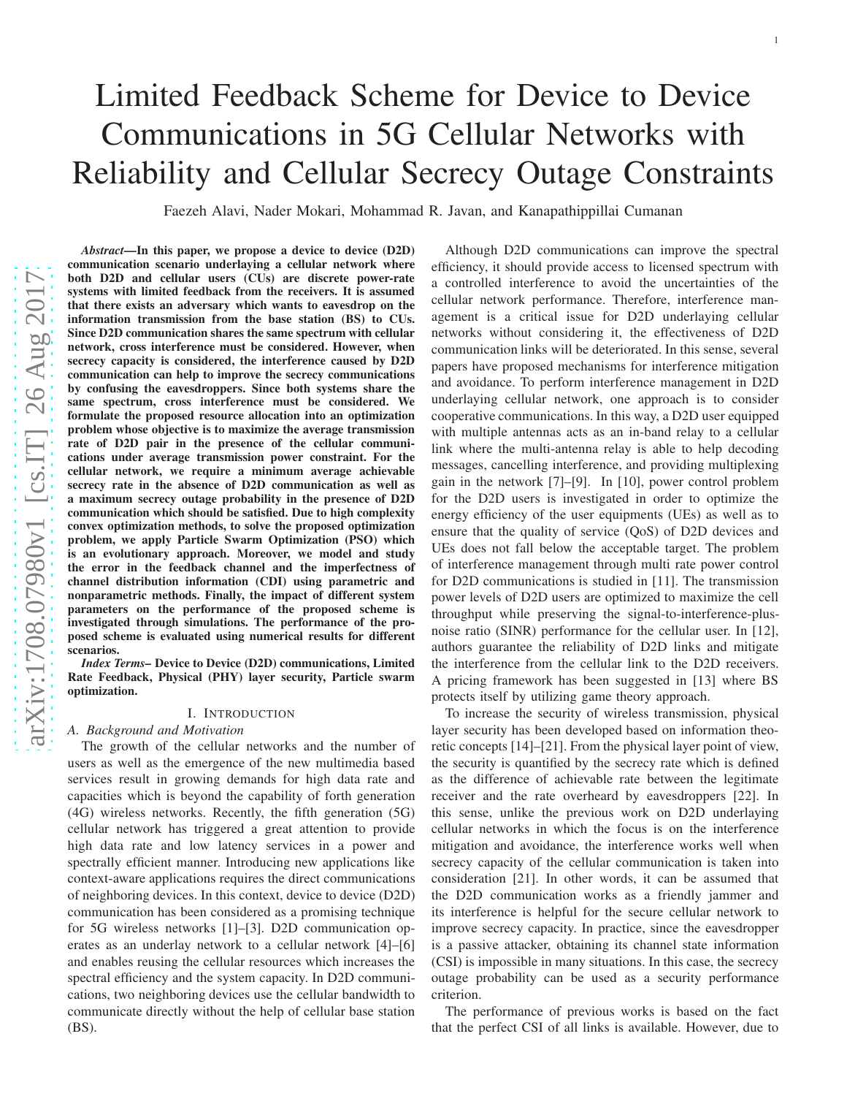# Limited Feedback Scheme for Device to Device Communications in 5G Cellular Networks with Reliability and Cellular Secrecy Outage Constraints

Faezeh Alavi, Nader Mokari, Mohammad R. Javan, and Kanapathippillai Cumanan

*Abstract*—In this paper, we propose a device to device (D2D) communication scenario underlaying a cellular network where both D2D and cellular users (CUs) are discrete power-rate systems with limited feedback from the receivers. It is assumed that there exists an adversary which wants to eavesdrop on th e information transmission from the base station (BS) to CUs. Since D2D communication shares the same spectrum with cellular network, cross interference must be considered. However, when secrecy capacity is considered, the interference caused by D2D communication can help to improve the secrecy communications by confusing the eavesdroppers. Since both systems share th e same spectrum, cross interference must be considered. We formulate the proposed resource allocation into an optimization problem whose objective is to maximize the average transmission rate of D2D pair in the presence of the cellular communications under average transmission power constraint. For the cellular network, we require a minimum average achievable secrecy rate in the absence of D2D communication as well as a maximum secrecy outage probability in the presence of D2D communication which should be satisfied. Due to high complexity convex optimization methods, to solve the proposed optimization problem, we apply Particle Swarm Optimization (PSO) which is an evolutionary approach. Moreover, we model and study the error in the feedback channel and the imperfectness of channel distribution information (CDI) using parametric and nonparametric methods. Finally, the impact of different system parameters on the performance of the proposed scheme is investigated through simulations. The performance of the proposed scheme is evaluated using numerical results for different scenarios.

*Index Terms–* Device to Device (D2D) communications, Limited Rate Feedback, Physical (PHY) layer security, Particle swarm optimization.

## I. INTRODUCTION

# *A. Background and Motivation*

The growth of the cellular networks and the number of users as well as the emergence of the new multimedia based services result in growing demands for high data rate and capacities which is beyond the capability of forth generation (4G) wireless networks. Recently, the fifth generation (5G) cellular network has triggered a great attention to provide high data rate and low latency services in a power and spectrally efficient manner. Introducing new applications like context-aware applications requires the direct communications of neighboring devices. In this context, device to device (D2D) communication has been considered as a promising technique for 5G wireless networks [\[1\]](#page-11-0)–[\[3\]](#page-11-1). D2D communication operates as an underlay network to a cellular network [\[4\]](#page-11-2)–[\[6\]](#page-11-3) and enables reusing the cellular resources which increases the spectral efficiency and the system capacity. In D2D communications, two neighboring devices use the cellular bandwidth to communicate directly without the help of cellular base station (BS).

Although D2D communications can improve the spectral efficiency, it should provide access to licensed spectrum with a controlled interference to avoid the uncertainties of the cellular network performance. Therefore, interference management is a critical issue for D2D underlaying cellular networks without considering it, the effectiveness of D2D communication links will be deteriorated. In this sense, several papers have proposed mechanisms for interference mitigation and avoidance. To perform interference management in D2D underlaying cellular network, one approach is to consider cooperative communications. In this way, a D2D user equippe d with multiple antennas acts as an in-band relay to a cellular link where the multi-antenna relay is able to help decoding messages, cancelling interference, and providing multiplexing gain in the network [\[7\]](#page-11-4)–[\[9\]](#page-11-5). In [\[10\]](#page-11-6), power control problem for the D2D users is investigated in order to optimize the energy efficiency of the user equipments (UEs) as well as to ensure that the quality of service (QoS) of D2D devices and UEs does not fall below the acceptable target. The problem of interference management through multi rate power contro l for D2D communications is studied in [\[11\]](#page-11-7). The transmission power levels of D2D users are optimized to maximize the cell throughput while preserving the signal-to-interference-plusnoise ratio (SINR) performance for the cellular user. In [\[12\]](#page-11-8), authors guarantee the reliability of D2D links and mitigate the interference from the cellular link to the D2D receivers . A pricing framework has been suggested in [\[13\]](#page-11-9) where BS protects itself by utilizing game theory approach.

To increase the security of wireless transmission, physica l layer security has been developed based on information theo retic concepts [\[14\]](#page-11-10)–[\[21\]](#page-11-11). From the physical layer point of view, the security is quantified by the secrecy rate which is defined as the difference of achievable rate between the legitimate receiver and the rate overheard by eavesdroppers [\[22\]](#page-11-12). In this sense, unlike the previous work on D2D underlaying cellular networks in which the focus is on the interference mitigation and avoidance, the interference works well when secrecy capacity of the cellular communication is taken into consideration [\[21\]](#page-11-11). In other words, it can be assumed that the D2D communication works as a friendly jammer and its interference is helpful for the secure cellular network to improve secrecy capacity. In practice, since the eavesdropper is a passive attacker, obtaining its channel state information (CSI) is impossible in many situations. In this case, the secrecy outage probability can be used as a security performance criterion.

The performance of previous works is based on the fact that the perfect CSI of all links is available. However, due t o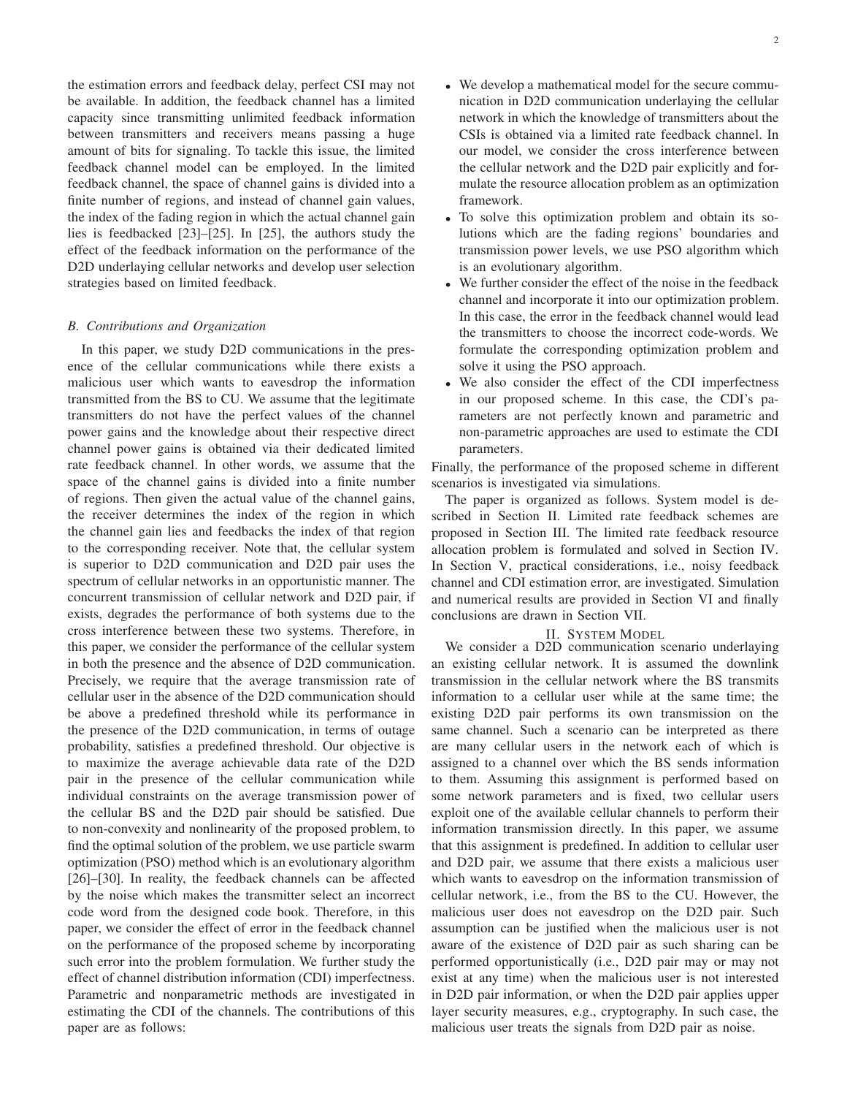the estimation errors and feedback delay, perfect CSI may not be available. In addition, the feedback channel has a limited capacity since transmitting unlimited feedback information between transmitters and receivers means passing a huge amount of bits for signaling. To tackle this issue, the limited feedback channel model can be employed. In the limited feedback channel, the space of channel gains is divided into a finite number of regions, and instead of channel gain values, the index of the fading region in which the actual channel gain lies is feedbacked [\[23\]](#page-12-0)–[\[25\]](#page-12-1). In [\[25\]](#page-12-1), the authors study the effect of the feedback information on the performance of the D2D underlaying cellular networks and develop user selection strategies based on limited feedback.

## *B. Contributions and Organization*

In this paper, we study D2D communications in the presence of the cellular communications while there exists a malicious user which wants to eavesdrop the information transmitted from the BS to CU. We assume that the legitimate transmitters do not have the perfect values of the channel power gains and the knowledge about their respective direct channel power gains is obtained via their dedicated limited rate feedback channel. In other words, we assume that the space of the channel gains is divided into a finite number of regions. Then given the actual value of the channel gains, the receiver determines the index of the region in which the channel gain lies and feedbacks the index of that region to the corresponding receiver. Note that, the cellular system is superior to D2D communication and D2D pair uses the spectrum of cellular networks in an opportunistic manner. The concurrent transmission of cellular network and D2D pair, if exists, degrades the performance of both systems due to the cross interference between these two systems. Therefore, in this paper, we consider the performance of the cellular system in both the presence and the absence of D2D communication. Precisely, we require that the average transmission rate of cellular user in the absence of the D2D communication should be above a predefined threshold while its performance in the presence of the D2D communication, in terms of outage probability, satisfies a predefined threshold. Our objective is to maximize the average achievable data rate of the D2D pair in the presence of the cellular communication while individual constraints on the average transmission power of the cellular BS and the D2D pair should be satisfied. Due to non-convexity and nonlinearity of the proposed problem, to find the optimal solution of the problem, we use particle swarm optimization (PSO) method which is an evolutionary algorithm [\[26\]](#page-12-2)–[\[30\]](#page-12-3). In reality, the feedback channels can be affected by the noise which makes the transmitter select an incorrect code word from the designed code book. Therefore, in this paper, we consider the effect of error in the feedback channel on the performance of the proposed scheme by incorporating such error into the problem formulation. We further study the effect of channel distribution information (CDI) imperfectness. Parametric and nonparametric methods are investigated in estimating the CDI of the channels. The contributions of this paper are as follows:

- We develop a mathematical model for the secure communication in D2D communication underlaying the cellular network in which the knowledge of transmitters about the CSIs is obtained via a limited rate feedback channel. In our model, we consider the cross interference between the cellular network and the D2D pair explicitly and formulate the resource allocation problem as an optimization framework.
- To solve this optimization problem and obtain its solutions which are the fading regions' boundaries and transmission power levels, we use PSO algorithm which is an evolutionary algorithm.
- We further consider the effect of the noise in the feedback channel and incorporate it into our optimization problem. In this case, the error in the feedback channel would lead the transmitters to choose the incorrect code-words. We formulate the corresponding optimization problem and solve it using the PSO approach.
- We also consider the effect of the CDI imperfectness in our proposed scheme. In this case, the CDI's parameters are not perfectly known and parametric and non-parametric approaches are used to estimate the CDI parameters.

Finally, the performance of the proposed scheme in different scenarios is investigated via simulations.

The paper is organized as follows. System model is described in Section [II.](#page-1-0) Limited rate feedback schemes are proposed in Section [III.](#page-3-0) The limited rate feedback resource allocation problem is formulated and solved in Section [IV.](#page-4-0) In Section [V,](#page-5-0) practical considerations, i.e., noisy feedback channel and CDI estimation error, are investigated. Simulation and numerical results are provided in Section [VI](#page-8-0) and finally conclusions are drawn in Section [VII.](#page-9-0)

## II. SYSTEM MODEL

<span id="page-1-0"></span>We consider a D2D communication scenario underlaying an existing cellular network. It is assumed the downlink transmission in the cellular network where the BS transmits information to a cellular user while at the same time; the existing D2D pair performs its own transmission on the same channel. Such a scenario can be interpreted as there are many cellular users in the network each of which is assigned to a channel over which the BS sends information to them. Assuming this assignment is performed based on some network parameters and is fixed, two cellular users exploit one of the available cellular channels to perform their information transmission directly. In this paper, we assume that this assignment is predefined. In addition to cellular user and D2D pair, we assume that there exists a malicious user which wants to eavesdrop on the information transmission of cellular network, i.e., from the BS to the CU. However, the malicious user does not eavesdrop on the D2D pair. Such assumption can be justified when the malicious user is not aware of the existence of D2D pair as such sharing can be performed opportunistically (i.e., D2D pair may or may not exist at any time) when the malicious user is not interested in D2D pair information, or when the D2D pair applies upper layer security measures, e.g., cryptography. In such case, the malicious user treats the signals from D2D pair as noise.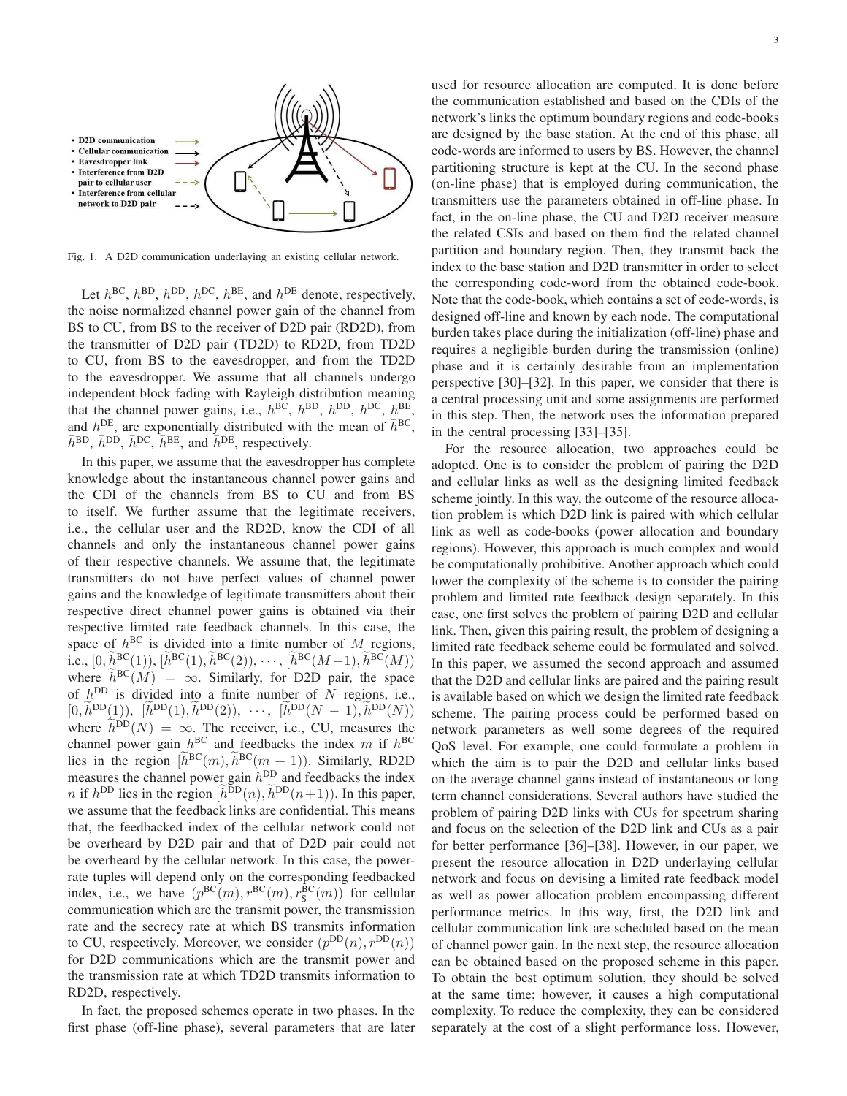

Fig. 1. A D2D communication underlaying an existing cellular network.

Let  $h^{BC}$ ,  $h^{BD}$ ,  $h^{DC}$ ,  $h^{BE}$ , and  $h^{DE}$  denote, respectively, the noise normalized channel power gain of the channel from BS to CU, from BS to the receiver of D2D pair (RD2D), from the transmitter of D2D pair (TD2D) to RD2D, from TD2D to CU, from BS to the eavesdropper, and from the TD2D to the eavesdropper. We assume that all channels undergo independent block fading with Rayleigh distribution meaning that the channel power gains, i.e.,  $h^{BC}$ ,  $h^{BD}$ ,  $h^{DD}$ ,  $h^{DC}$ ,  $h^{BE}$ , and  $h^{DE}$ , are exponentially distributed with the mean of  $\bar{h}^{BC}$ ,  $\bar{h}^{\text{BD}}, \bar{h}^{\text{DD}}, \bar{h}^{\text{DC}}, \bar{h}^{\text{BE}},$  and  $\bar{h}^{\text{DE}},$  respectively.

In this paper, we assume that the eavesdropper has complete knowledge about the instantaneous channel power gains and the CDI of the channels from BS to CU and from BS to itself. We further assume that the legitimate receivers, i.e., the cellular user and the RD2D, know the CDI of all channels and only the instantaneous channel power gains of their respective channels. We assume that, the legitimate transmitters do not have perfect values of channel power gains and the knowledge of legitimate transmitters about their respective direct channel power gains is obtained via their respective limited rate feedback channels. In this case, the space of  $h^{BC}$  is divided into a finite number of M regions, i.e.,  $[0, \tilde{h}^{BC}(1)), [\tilde{h}^{BC}(1), \tilde{h}^{BC}(2)), \cdots, [\tilde{h}^{BC}(M-1), \tilde{h}^{BC}(M))$ where  $\tilde{h}^{BC}(M) = \infty$ . Similarly, for D2D pair, the space of  $h^{\text{DD}}$  is divided into a finite number of N regions, i.e.,  $[0, \bar{h}^{DD}(1)), \; [\bar{h}^{DD}(1), \bar{h}^{DD}(2)), \; \cdots, \; [\bar{h}^{DD}(N-1), \bar{h}^{DD}(N)]$ where  $h^{\text{DD}}(N) = \infty$ . The receiver, i.e., CU, measures the channel power gain  $h^{BC}$  and feedbacks the index m if  $h^{BC}$ lies in the region  $[h^{BC}(m), h^{BC}(m+1))$ . Similarly, RD2D measures the channel power gain  $h^{\text{DD}}$  and feedbacks the index *n* if  $h^{\text{DD}}$  lies in the region  $\left(\tilde{h}^{\text{DD}}(n), \tilde{h}^{\text{DD}}(n+1)\right)$ . In this paper, we assume that the feedback links are confidential. This means that, the feedbacked index of the cellular network could not be overheard by D2D pair and that of D2D pair could not be overheard by the cellular network. In this case, the powerrate tuples will depend only on the corresponding feedbacked index, i.e., we have  $(p^{BC}(m), r^{BC}(m), r^{BC}(m))$  for cellular communication which are the transmit power, the transmission rate and the secrecy rate at which BS transmits information to CU, respectively. Moreover, we consider  $(p^{DD}(n), r^{DD}(n))$ for D2D communications which are the transmit power and the transmission rate at which TD2D transmits information to RD2D, respectively.

In fact, the proposed schemes operate in two phases. In the first phase (off-line phase), several parameters that are later used for resource allocation are computed. It is done before the communication established and based on the CDIs of the network's links the optimum boundary regions and code-books are designed by the base station. At the end of this phase, all code-words are informed to users by BS. However, the channel partitioning structure is kept at the CU. In the second phase (on-line phase) that is employed during communication, the transmitters use the parameters obtained in off-line phase. In fact, in the on-line phase, the CU and D2D receiver measure the related CSIs and based on them find the related channel partition and boundary region. Then, they transmit back the index to the base station and D2D transmitter in order to select the corresponding code-word from the obtained code-book. Note that the code-book, which contains a set of code-words, is designed off-line and known by each node. The computational burden takes place during the initialization (off-line) phase and requires a negligible burden during the transmission (online) phase and it is certainly desirable from an implementation perspective [\[30\]](#page-12-3)–[\[32\]](#page-12-4). In this paper, we consider that there is a central processing unit and some assignments are performed in this step. Then, the network uses the information prepared in the central processing [\[33\]](#page-12-5)–[\[35\]](#page-12-6).

For the resource allocation, two approaches could be adopted. One is to consider the problem of pairing the D2D and cellular links as well as the designing limited feedback scheme jointly. In this way, the outcome of the resource allocation problem is which D2D link is paired with which cellular link as well as code-books (power allocation and boundary regions). However, this approach is much complex and would be computationally prohibitive. Another approach which could lower the complexity of the scheme is to consider the pairing problem and limited rate feedback design separately. In this case, one first solves the problem of pairing D2D and cellular link. Then, given this pairing result, the problem of designing a limited rate feedback scheme could be formulated and solved. In this paper, we assumed the second approach and assumed that the D2D and cellular links are paired and the pairing result is available based on which we design the limited rate feedback scheme. The pairing process could be performed based on network parameters as well some degrees of the required QoS level. For example, one could formulate a problem in which the aim is to pair the D2D and cellular links based on the average channel gains instead of instantaneous or long term channel considerations. Several authors have studied the problem of pairing D2D links with CUs for spectrum sharing and focus on the selection of the D2D link and CUs as a pair for better performance [\[36\]](#page-12-7)–[\[38\]](#page-12-8). However, in our paper, we present the resource allocation in D2D underlaying cellular network and focus on devising a limited rate feedback model as well as power allocation problem encompassing different performance metrics. In this way, first, the D2D link and cellular communication link are scheduled based on the mean of channel power gain. In the next step, the resource allocation can be obtained based on the proposed scheme in this paper. To obtain the best optimum solution, they should be solved at the same time; however, it causes a high computational complexity. To reduce the complexity, they can be considered separately at the cost of a slight performance loss. However,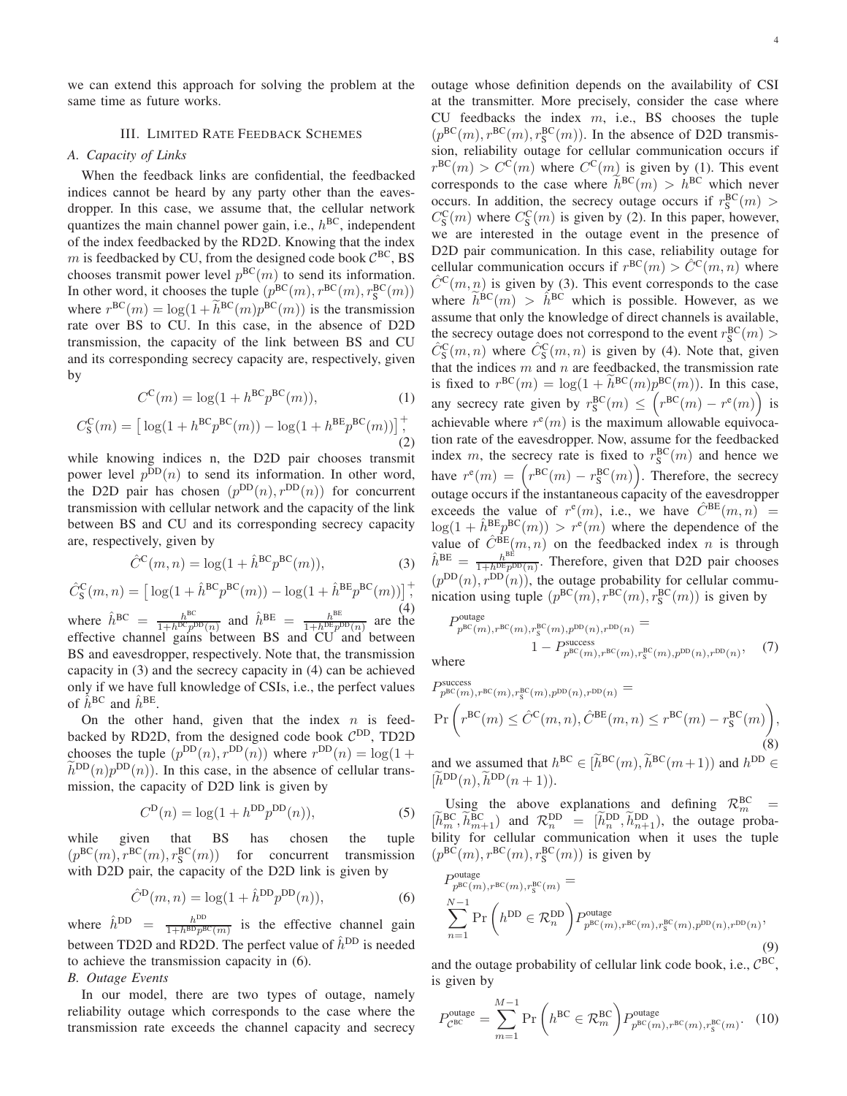4

<span id="page-3-0"></span>we can extend this approach for solving the problem at the same time as future works.

# III. LIMITED RATE FEEDBACK SCHEMES

## *A. Capacity of Links*

When the feedback links are confidential, the feedbacked indices cannot be heard by any party other than the eavesdropper. In this case, we assume that, the cellular network quantizes the main channel power gain, i.e.,  $h^{BC}$ , independent of the index feedbacked by the RD2D. Knowing that the index m is feedbacked by CU, from the designed code book  $C^{BC}$ , BS chooses transmit power level  $p^{BC}(m)$  to send its information. In other word, it chooses the tuple  $(p^{BC}(m), r^{BC}(m), r^{BC}_S(m))$ where  $r^{BC}(m) = \log(1 + h^{BC}(m)p^{BC}(m))$  is the transmission rate over BS to CU. In this case, in the absence of D2D transmission, the capacity of the link between BS and CU and its corresponding secrecy capacity are, respectively, given by

<span id="page-3-4"></span>
$$
C^{C}(m) = \log(1 + h^{BC} p^{BC}(m)), \qquad (1)
$$

$$
C_{\rm S}^{\rm C}(m) = \left[ \log(1 + h^{\rm BC} p^{\rm BC}(m)) - \log(1 + h^{\rm BE} p^{\rm BC}(m)) \right]_+^+, \tag{2}
$$

while knowing indices n, the D2D pair chooses transmit power level  $p^{DD}(n)$  to send its information. In other word, the D2D pair has chosen  $(p^{DD}(n), r^{DD}(n))$  for concurrent transmission with cellular network and the capacity of the link between BS and CU and its corresponding secrecy capacity are, respectively, given by

<span id="page-3-1"></span>
$$
\hat{C}^{\mathbf{C}}(m,n) = \log(1 + \hat{h}^{\mathbf{B}\mathbf{C}} p^{\mathbf{B}\mathbf{C}}(m)),\tag{3}
$$

$$
\hat{C}_{\mathcal{S}}^{\mathcal{C}}(m,n) = \left[ \log(1 + \hat{h}^{\mathcal{B}\mathcal{C}} p^{\mathcal{B}\mathcal{C}}(m)) - \log(1 + \hat{h}^{\mathcal{B}\mathcal{E}} p^{\mathcal{B}\mathcal{C}}(m)) \right]_{\mathcal{A}}^+,
$$

where  $\hat{h}^{BC} = \frac{h^{BC}}{1 + h^{DC}n^{DD}(n)}$  and  $\hat{h}^{BE} = \frac{h^{BE}}{1 + h^{DE}n^{DD}(n)}$  are the  $\frac{h^{\text{BC}}}{1+h^{\text{DC}}p^{\text{DD}}(n)}$  and  $\hat{h}^{\text{BE}} = \frac{h^{\text{BE}}}{1+h^{\text{DE}}p^{\text{BE}}}$  $\frac{h^{\text{DL}}}{1+h^{\text{DE}}p^{\text{DD}}(n)}$  are the effective channel gains between BS and CU and between BS and eavesdropper, respectively. Note that, the transmission capacity in [\(3\)](#page-3-1) and the secrecy capacity in [\(4\)](#page-3-2) can be achieved only if we have full knowledge of CSIs, i.e., the perfect values of  $\hat{h}^{\text{BC}}$  and  $\hat{h}^{\text{BE}}$ .

On the other hand, given that the index  $n$  is feedbacked by RD2D, from the designed code book  $C^{DD}$ , TD2D chooses the tuple  $(p^{DD}(n), r^{DD}(n))$  where  $r^{DD}(n) = \log(1 +$  $\tilde{h}^{DD}(n)p^{DD}(n)$ ). In this case, in the absence of cellular transmission, the capacity of D2D link is given by

<span id="page-3-6"></span>
$$
C^{D}(n) = \log(1 + h^{DD}p^{DD}(n)),
$$
\n(5)

while given that BS has chosen the tuple  $(p^{BC}(m), r^{BC}(m), r^{BC}(m))$  for concurrent transmission with D2D pair, the capacity of the D2D link is given by

<span id="page-3-3"></span>
$$
\hat{C}^{\text{D}}(m,n) = \log(1 + \hat{h}^{\text{DD}} p^{\text{DD}}(n)),\tag{6}
$$

where  $\hat{h}^{\text{DD}} = \frac{h^{\text{DD}}}{1 + h^{\text{BD}} n^{\text{BD}}}$  $\frac{h^{BD}}{1+h^{BD}p^{BC}(m)}$  is the effective channel gain between TD2D and RD2D. The perfect value of  $\hat{h}^{DD}$  is needed to achieve the transmission capacity in [\(6\)](#page-3-3). *B. Outage Events*

In our model, there are two types of outage, namely reliability outage which corresponds to the case where the transmission rate exceeds the channel capacity and secrecy outage whose definition depends on the availability of CSI at the transmitter. More precisely, consider the case where CU feedbacks the index  $m$ , i.e., BS chooses the tuple  $(p^{BC}(m), r^{BC}(m), r^{BC}(m))$ . In the absence of D2D transmission, reliability outage for cellular communication occurs if  $r^{BC}(m) > C^{C}(m)$  where  $C^{C}(m)$  is given by [\(1\)](#page-3-4). This event corresponds to the case where  $\bar{h}^{\text{BC}}(m) > h^{\text{BC}}$  which never occurs. In addition, the secrecy outage occurs if  $r_S^{BC}(m) >$  $C_{\rm S}^{\rm C}(m)$  where  $C_{\rm S}^{\rm C}(m)$  is given by [\(2\)](#page-3-5). In this paper, however, we are interested in the outage event in the presence of D2D pair communication. In this case, reliability outage for cellular communication occurs if  $r^{BC}(m) > \hat{C}^{C}(m,n)$  where  $\hat{C}^{\text{C}}(m, n)$  is given by [\(3\)](#page-3-1). This event corresponds to the case where  $\tilde{h}^{\text{BC}}(m) > \hat{h}^{\text{BC}}$  which is possible. However, as we assume that only the knowledge of direct channels is available, the secrecy outage does not correspond to the event  $r_S^{BC}(m)$  >  $\hat{C}_{\rm S}^{\rm C}(m,n)$  where  $\hat{C}_{\rm S}^{\rm C}(m,n)$  is given by [\(4\)](#page-3-2). Note that, given that the indices  $m$  and  $n$  are feedbacked, the transmission rate is fixed to  $r^{\text{BC}}(m) = \log(1 + h^{\text{BC}}(m)p^{\text{BC}}(m))$ . In this case, any secrecy rate given by  $r_S^{\text{BC}}(m) \leq \left(r^{\text{BC}}(m) - r^e(m)\right)$  is achievable where  $r^{e}(m)$  is the maximum allowable equivocation rate of the eavesdropper. Now, assume for the feedbacked index m, the secrecy rate is fixed to  $r_S^{BC}(m)$  and hence we have  $r^e(m) = \left(r^{BC}(m) - r_S^{BC}(m)\right)$ . Therefore, the secrecy outage occurs if the instantaneous capacity of the eavesdropper exceeds the value of  $r^{e}(m)$ , i.e., we have  $\hat{C}^{BE}(m,n)$  =  $\log(1 + \hat{h}^{BE}p^{BC}(m)) > r^{e}(m)$  where the dependence of the value of  $\hat{C}^{BE}(m, n)$  on the feedbacked index n is through  $\hat{h}^{\text{BE}} = \frac{h^{\text{BE}}}{1 + h^{\text{DE}} n!}$  $\frac{h^{22}}{1+h^{DE}p^{DD}(n)}$ . Therefore, given that D2D pair chooses  $(p^{DD}(n), r^{DD}(n))$ , the outage probability for cellular communication using tuple  $(p^{BC}(m), r^{BC}(m), r^{BC}(m))$  is given by

<span id="page-3-2"></span>
$$
P_{p^{\text{BC}}(m),r^{\text{BC}}(m),r^{\text{BC}}_s(m),p^{\text{DD}}(n),r^{\text{DD}}(n)}^{\text{out}} =
$$
  
1 - P\_{p^{\text{BCC}}(m),r^{\text{BC}}(m),r^{\text{BC}}\_s(m),p^{\text{DD}}(n),r^{\text{DD}}(n)}, (7)

where

<span id="page-3-9"></span><span id="page-3-8"></span><span id="page-3-5"></span>outage

$$
P_{p^{\text{BC}}(m),r^{\text{BC}}(m),r^{\text{BC}}(m),p^{\text{DD}}(n),r^{\text{DD}}(n)}^{\text{success}} =
$$
  
Pr $\left(r^{\text{BC}}(m) \leq \hat{C}^{\text{C}}(m,n), \hat{C}^{\text{BE}}(m,n) \leq r^{\text{BC}}(m) - r^{\text{BC}}_{\text{S}}(m)\right),$   
(8)

and we assumed that  $h^{BC} \in [h^{BC}(m), h^{BC}(m+1))$  and  $h^{DD} \in$  $[h^{DD}(n), h^{DD}(n+1)].$ 

Using the above explanations and defining  $\mathcal{R}_m^{\text{BC}} =$  $[\tilde{h}_m^{\text{BC}}, \tilde{h}_{m+1}^{\text{BC}}]$  and  $\mathcal{R}_n^{\text{DD}} = [\tilde{h}_n^{\text{DD}}, \tilde{h}_{n+1}^{\text{DD}}]$ , the outage probability for cellular communication when it uses the tuple  $(p^{BC}(m), r^{BC}(m), r^{BC}(m))$  is given by

<span id="page-3-10"></span>
$$
P_{p^{\text{BC}}(m),r^{\text{BC}}(m),r^{\text{BC}}_S(m)}^{\text{outage}} =\n\sum_{n=1}^{N-1} \Pr\left(h^{\text{DD}} \in \mathcal{R}_n^{\text{DD}}\right) P_{p^{\text{BC}}(m),r^{\text{BC}}(m),r^{\text{BC}}(m),r^{\text{BD}}(n),r^{\text{DD}}(n)},
$$
\n(9)

and the outage probability of cellular link code book, i.e.,  $C^{BC}$ , is given by

<span id="page-3-7"></span>
$$
P_{\mathcal{C}^{\text{BC}}}^{\text{outage}} = \sum_{m=1}^{M-1} \Pr\left(h^{\text{BC}} \in \mathcal{R}_m^{\text{BC}}\right) P_{p^{\text{BC}}(m), r^{\text{BC}}(m), r^{\text{BC}}_S(m)}. (10)
$$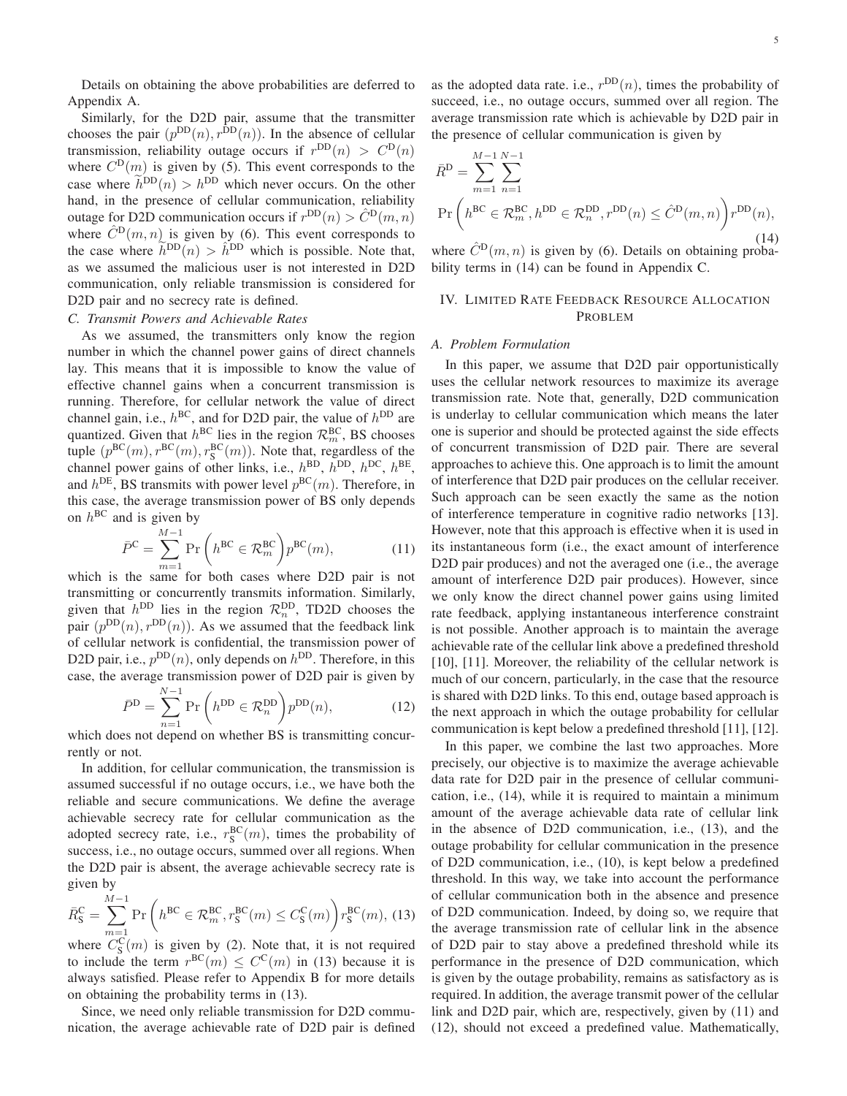Details on obtaining the above probabilities are deferred to Appendix [A.](#page-9-1)

Similarly, for the D2D pair, assume that the transmitter chooses the pair  $(p^{DD}(n), r^{DD}(n))$ . In the absence of cellular transmission, reliability outage occurs if  $r^{DD}(n) > C^D(n)$ where  $C^{D}(m)$  is given by [\(5\)](#page-3-6). This event corresponds to the case where  $\hat{h}^{DD}(n) > h^{DD}$  which never occurs. On the other hand, in the presence of cellular communication, reliability outage for D2D communication occurs if  $r^{\text{DD}}(n) > \hat{C}^{\text{D}}(m, n)$ where  $\hat{C}^{\text{D}}(m, n)$  is given by [\(6\)](#page-3-3). This event corresponds to the case where  $\tilde{h}^{DD}(n) > \hat{h}^{DD}$  which is possible. Note that, as we assumed the malicious user is not interested in D2D communication, only reliable transmission is considered for D2D pair and no secrecy rate is defined.

# *C. Transmit Powers and Achievable Rates*

As we assumed, the transmitters only know the region number in which the channel power gains of direct channels lay. This means that it is impossible to know the value of effective channel gains when a concurrent transmission is running. Therefore, for cellular network the value of direct channel gain, i.e.,  $h^{BC}$ , and for D2D pair, the value of  $h^{DD}$  are quantized. Given that  $h^{BC}$  lies in the region  $\mathcal{R}_m^{BC}$ , BS chooses tuple  $(p^{BC}(m), r^{BC}(m), r^{BC}(m))$ . Note that, regardless of the channel power gains of other links, i.e.,  $h^{\text{BD}}$ ,  $h^{\text{DD}}$ ,  $h^{\text{DC}}$ ,  $h^{\text{BE}}$ , and  $h^{DE}$ , BS transmits with power level  $p^{BC}(m)$ . Therefore, in this case, the average transmission power of BS only depends on  $h^{\text{BC}}$  and is given by

<span id="page-4-3"></span>
$$
\bar{P}^{\mathcal{C}} = \sum_{m=1}^{M-1} \Pr\left(h^{\mathcal{BC}} \in \mathcal{R}_m^{\mathcal{BC}}\right) p^{\mathcal{BC}}(m),\tag{11}
$$

which is the same for both cases where D2D pair is not transmitting or concurrently transmits information. Similarly, given that  $h^{\text{DD}}$  lies in the region  $\mathcal{R}_n^{\text{DD}}$ , TD2D chooses the pair  $(p^{DD}(n), r^{DD}(n))$ . As we assumed that the feedback link of cellular network is confidential, the transmission power of D2D pair, i.e.,  $p^{DD}(n)$ , only depends on  $h^{DD}$ . Therefore, in this case, the average transmission power of D2D pair is given by

<span id="page-4-4"></span>
$$
\bar{P}^{\mathcal{D}} = \sum_{n=1}^{N-1} \Pr\left(h^{\mathcal{D}\mathcal{D}} \in \mathcal{R}_n^{\mathcal{D}\mathcal{D}}\right) p^{\mathcal{D}\mathcal{D}}(n),\tag{12}
$$

which does not depend on whether BS is transmitting concurrently or not.

In addition, for cellular communication, the transmission is assumed successful if no outage occurs, i.e., we have both the reliable and secure communications. We define the average achievable secrecy rate for cellular communication as the adopted secrecy rate, i.e.,  $r_S^{BC}(m)$ , times the probability of success, i.e., no outage occurs, summed over all regions. When the D2D pair is absent, the average achievable secrecy rate is given by

<span id="page-4-1"></span>
$$
\bar{R}_{\mathcal{S}}^{\mathcal{C}} = \sum_{m=1}^{M-1} \Pr\left(h^{\mathcal{BC}} \in \mathcal{R}_{m}^{\mathcal{BC}}, r_{\mathcal{S}}^{\mathcal{BC}}(m) \le C_{\mathcal{S}}^{\mathcal{C}}(m)\right) r_{\mathcal{S}}^{\mathcal{BC}}(m), (13)
$$

where  $C_S^{\text{C}}(m)$  is given by [\(2\)](#page-3-5). Note that, it is not required to include the term  $r^{BC}(m) \leq C^{C}(m)$  in [\(13\)](#page-4-1) because it is always satisfied. Please refer to Appendix [B](#page-10-0) for more details on obtaining the probability terms in [\(13\)](#page-4-1).

Since, we need only reliable transmission for D2D communication, the average achievable rate of D2D pair is defined

as the adopted data rate. i.e.,  $r^{DD}(n)$ , times the probability of succeed, i.e., no outage occurs, summed over all region. The average transmission rate which is achievable by D2D pair in the presence of cellular communication is given by

$$
\bar{R}^{\text{D}} = \sum_{m=1}^{M-1} \sum_{n=1}^{N-1}
$$
\n
$$
\Pr\left(h^{\text{BC}} \in \mathcal{R}_m^{\text{BC}}, h^{\text{DD}} \in \mathcal{R}_n^{\text{DD}}, r^{\text{DD}}(n) \leq \hat{C}^{\text{D}}(m, n)\right) r^{\text{DD}}(n),
$$
\nwhere  $\hat{C}^{\text{D}}(m, n)$  is given by (6). Details on obtaining proba-

bility terms in [\(14\)](#page-4-2) can be found in Appendix [C.](#page-11-13)

## <span id="page-4-2"></span><span id="page-4-0"></span>IV. LIMITED RATE FEEDBACK RESOURCE ALLOCATION PROBLEM

#### *A. Problem Formulation*

In this paper, we assume that D2D pair opportunistically uses the cellular network resources to maximize its average transmission rate. Note that, generally, D2D communication is underlay to cellular communication which means the later one is superior and should be protected against the side effects of concurrent transmission of D2D pair. There are several approaches to achieve this. One approach is to limit the amount of interference that D2D pair produces on the cellular receiver. Such approach can be seen exactly the same as the notion of interference temperature in cognitive radio networks [\[13\]](#page-11-9). However, note that this approach is effective when it is used in its instantaneous form (i.e., the exact amount of interference D2D pair produces) and not the averaged one (i.e., the average amount of interference D2D pair produces). However, since we only know the direct channel power gains using limited rate feedback, applying instantaneous interference constraint is not possible. Another approach is to maintain the average achievable rate of the cellular link above a predefined threshold [\[10\]](#page-11-6), [\[11\]](#page-11-7). Moreover, the reliability of the cellular network is much of our concern, particularly, in the case that the resource is shared with D2D links. To this end, outage based approach is the next approach in which the outage probability for cellular communication is kept below a predefined threshold [\[11\]](#page-11-7), [\[12\]](#page-11-8).

In this paper, we combine the last two approaches. More precisely, our objective is to maximize the average achievable data rate for D2D pair in the presence of cellular communication, i.e., [\(14\)](#page-4-2), while it is required to maintain a minimum amount of the average achievable data rate of cellular link in the absence of D2D communication, i.e., [\(13\)](#page-4-1), and the outage probability for cellular communication in the presence of D2D communication, i.e., [\(10\)](#page-3-7), is kept below a predefined threshold. In this way, we take into account the performance of cellular communication both in the absence and presence of D2D communication. Indeed, by doing so, we require that the average transmission rate of cellular link in the absence of D2D pair to stay above a predefined threshold while its performance in the presence of D2D communication, which is given by the outage probability, remains as satisfactory as is required. In addition, the average transmit power of the cellular link and D2D pair, which are, respectively, given by [\(11\)](#page-4-3) and [\(12\)](#page-4-4), should not exceed a predefined value. Mathematically,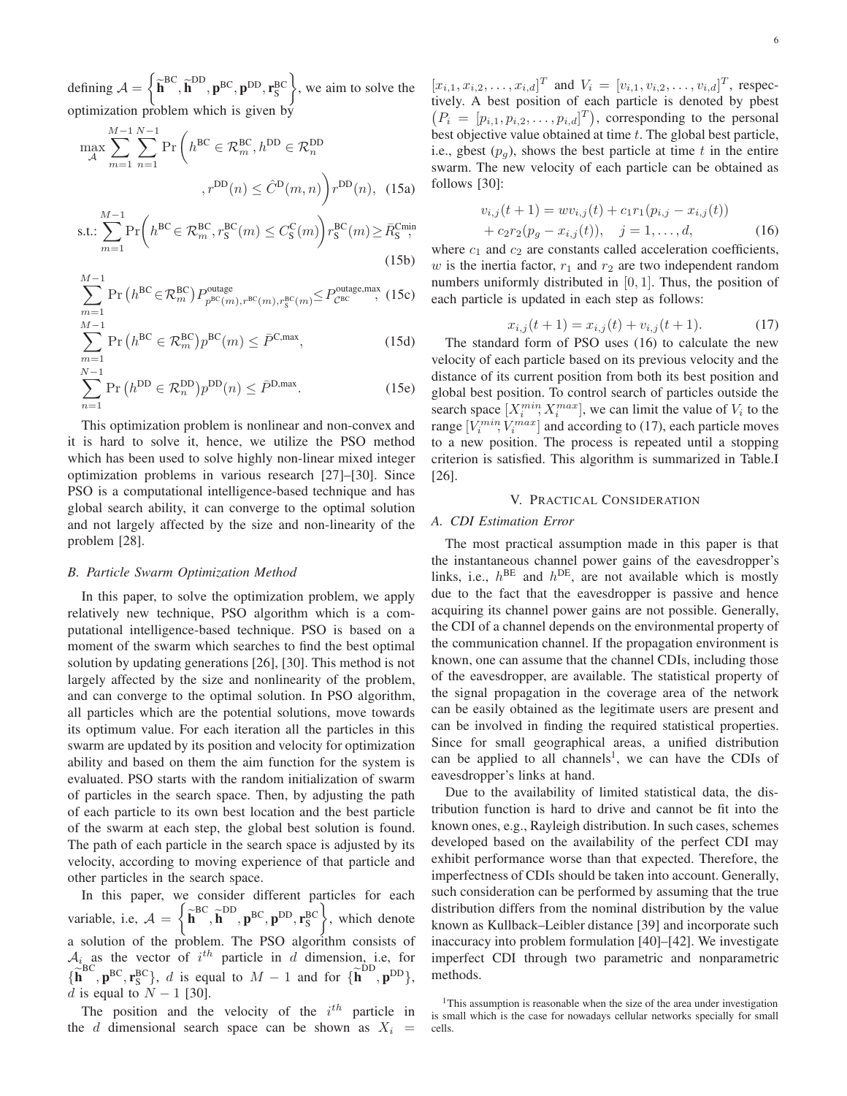defining  $A =$  $\sqrt{ }$  $\widetilde{\textbf{h}}^{\text{BC}}, \widetilde{\textbf{h}}^{\text{DD}}, \textbf{p}^{\text{BC}}, \textbf{p}^{\text{DD}}, \textbf{r}_{\text{S}}^{\text{BC}}$  $\mathcal{L}$ , we aim to solve the optimization problem which is given by

$$
\max_{\mathcal{A}} \sum_{m=1}^{M-1} \sum_{n=1}^{N-1} \Pr\left(h^{\text{BC}} \in \mathcal{R}_m^{\text{BC}}, h^{\text{DD}} \in \mathcal{R}_n^{\text{DD}}\right)
$$
\n
$$
, r^{\text{DD}}(n) \leq \hat{C}^{\text{D}}(m, n) \Big) r^{\text{DD}}(n), \quad (15a)
$$
\n
$$
\text{s.t.} \sum_{n=1}^{M-1} \Pr\left(h^{\text{BC}} \in \mathcal{R}^{\text{BC}} \cdot r^{\text{BC}}(m) < C^{\text{C}}(m) \right) r^{\text{BC}}(m) > \bar{R}^{\text{Cmin}}_{\text{max}}
$$

$$
\text{s.t.:} \sum_{m=1}^{M-1} \Pr\left(h^{\text{BC}} \in \mathcal{R}_m^{\text{BC}}, r^{\text{BC}}_s(m) \le C^{\text{C}}_s(m)\right) r^{\text{BC}}_s(m) \ge \bar{R}_s^{\text{Cmin}},\tag{15b}
$$

$$
\sum_{m=1}^{M-1} \Pr\left(h^{\text{BC}} \in \mathcal{R}_m^{\text{BC}}\right) P_{p^{\text{BC}}(m), r^{\text{BC}}(m), r^{\text{BC}}_S(m)} \le P_{\mathcal{C}^{\text{BC}}}^{\text{outage}, \text{max}}, \ (15c)
$$

$$
\sum_{m=1}^{M-1} \Pr\left(h^{\text{BC}} \in \mathcal{R}_m^{\text{BC}}\right) p^{\text{BC}}(m) \le \bar{P}^{\text{C,max}},\tag{15d}
$$

$$
\sum_{n=1}^{N-1} \Pr\left(h^{\text{DD}} \in \mathcal{R}_n^{\text{DD}}\right) p^{\text{DD}}(n) \le \bar{P}^{\text{D,max}}.\tag{15e}
$$

This optimization problem is nonlinear and non-convex and it is hard to solve it, hence, we utilize the PSO method which has been used to solve highly non-linear mixed integer optimization problems in various research [\[27\]](#page-12-9)–[\[30\]](#page-12-3). Since PSO is a computational intelligence-based technique and has global search ability, it can converge to the optimal solution and not largely affected by the size and non-linearity of the problem [\[28\]](#page-12-10).

#### *B. Particle Swarm Optimization Method*

In this paper, to solve the optimization problem, we apply relatively new technique, PSO algorithm which is a computational intelligence-based technique. PSO is based on a moment of the swarm which searches to find the best optimal solution by updating generations [\[26\]](#page-12-2), [\[30\]](#page-12-3). This method is not largely affected by the size and nonlinearity of the problem, and can converge to the optimal solution. In PSO algorithm, all particles which are the potential solutions, move towards its optimum value. For each iteration all the particles in this swarm are updated by its position and velocity for optimization ability and based on them the aim function for the system is evaluated. PSO starts with the random initialization of swarm of particles in the search space. Then, by adjusting the path of each particle to its own best location and the best particle of the swarm at each step, the global best solution is found. The path of each particle in the search space is adjusted by its velocity, according to moving experience of that particle and other particles in the search space.

In this paper, we consider different particles for each variable, i.e,  $A =$  $\sqrt{ }$  $\widetilde{\textbf{h}}^{\text{BC}}, \widetilde{\textbf{h}}^{\text{DD}}, \textbf{p}^{\text{BC}}, \textbf{p}^{\text{DD}}, \textbf{r}_{\text{S}}^{\text{BC}}$  $\overline{1}$ , which denote a solution of the problem. The PSO algorithm consists of  $\mathcal{A}_i$  as the vector of  $i^{th}$  particle in d dimension, i.e, for  $\{\widetilde{\mathbf{h}}^{\text{BC}}, \mathbf{p}^{\text{BC}}, \mathbf{r}_{\text{S}}^{\text{BC}}\}, d$  is equal to  $M-1$  and for  $\{\widetilde{\mathbf{h}}^{\text{DD}}, \mathbf{p}^{\text{DD}}\},$ d is equal to  $N - 1$  [\[30\]](#page-12-3).

The position and the velocity of the  $i^{th}$  particle in the d dimensional search space can be shown as  $X_i$  =

 $[x_{i,1}, x_{i,2}, \ldots, x_{i,d}]^T$  and  $V_i = [v_{i,1}, v_{i,2}, \ldots, v_{i,d}]^T$ , respectively. A best position of each particle is denoted by pbest  $\left(P_i = [p_{i,1}, p_{i,2}, \dots, p_{i,d}]^T\right)$ , corresponding to the personal best objective value obtained at time t. The global best particle, i.e., gbest  $(p_g)$ , shows the best particle at time t in the entire swarm. The new velocity of each particle can be obtained as follows [\[30\]](#page-12-3):

$$
v_{i,j}(t+1) = w v_{i,j}(t) + c_1 r_1 (p_{i,j} - x_{i,j}(t))
$$
  
+ 
$$
c_2 r_2 (p_g - x_{i,j}(t)), \quad j = 1, ..., d,
$$
 (16)

<span id="page-5-4"></span>where  $c_1$  and  $c_2$  are constants called acceleration coefficients, w is the inertia factor,  $r_1$  and  $r_2$  are two independent random numbers uniformly distributed in [0, 1]. Thus, the position of each particle is updated in each step as follows:

<span id="page-5-2"></span><span id="page-5-1"></span>
$$
x_{i,j}(t+1) = x_{i,j}(t) + v_{i,j}(t+1). \tag{17}
$$

<span id="page-5-5"></span>The standard form of PSO uses [\(16\)](#page-5-1) to calculate the new velocity of each particle based on its previous velocity and the distance of its current position from both its best position and global best position. To control search of particles outside the search space  $[X_i^{min}, X_i^{max}]$ , we can limit the value of  $V_i$  to the range  $[V_i^{min}, V_i^{max}]$  and according to [\(17\)](#page-5-2), each particle moves to a new position. The process is repeated until a stopping criterion is satisfied. This algorithm is summarized in Table[.I](#page-6-0) [\[26\]](#page-12-2).

## V. PRACTICAL CONSIDERATION

#### <span id="page-5-0"></span>*A. CDI Estimation Error*

The most practical assumption made in this paper is that the instantaneous channel power gains of the eavesdropper's links, i.e.,  $h^{\text{BE}}$  and  $h^{\text{DE}}$ , are not available which is mostly due to the fact that the eavesdropper is passive and hence acquiring its channel power gains are not possible. Generally, the CDI of a channel depends on the environmental property of the communication channel. If the propagation environment is known, one can assume that the channel CDIs, including those of the eavesdropper, are available. The statistical property of the signal propagation in the coverage area of the network can be easily obtained as the legitimate users are present and can be involved in finding the required statistical properties. Since for small geographical areas, a unified distribution can be applied to all channels<sup>[1](#page-5-3)</sup>, we can have the CDIs of eavesdropper's links at hand.

Due to the availability of limited statistical data, the distribution function is hard to drive and cannot be fit into the known ones, e.g., Rayleigh distribution. In such cases, schemes developed based on the availability of the perfect CDI may exhibit performance worse than that expected. Therefore, the imperfectness of CDIs should be taken into account. Generally, such consideration can be performed by assuming that the true distribution differs from the nominal distribution by the value known as Kullback–Leibler distance [\[39\]](#page-12-11) and incorporate such inaccuracy into problem formulation [\[40\]](#page-12-12)–[\[42\]](#page-12-13). We investigate imperfect CDI through two parametric and nonparametric methods.

<span id="page-5-3"></span><sup>&</sup>lt;sup>1</sup>This assumption is reasonable when the size of the area under investigation is small which is the case for nowadays cellular networks specially for small cells.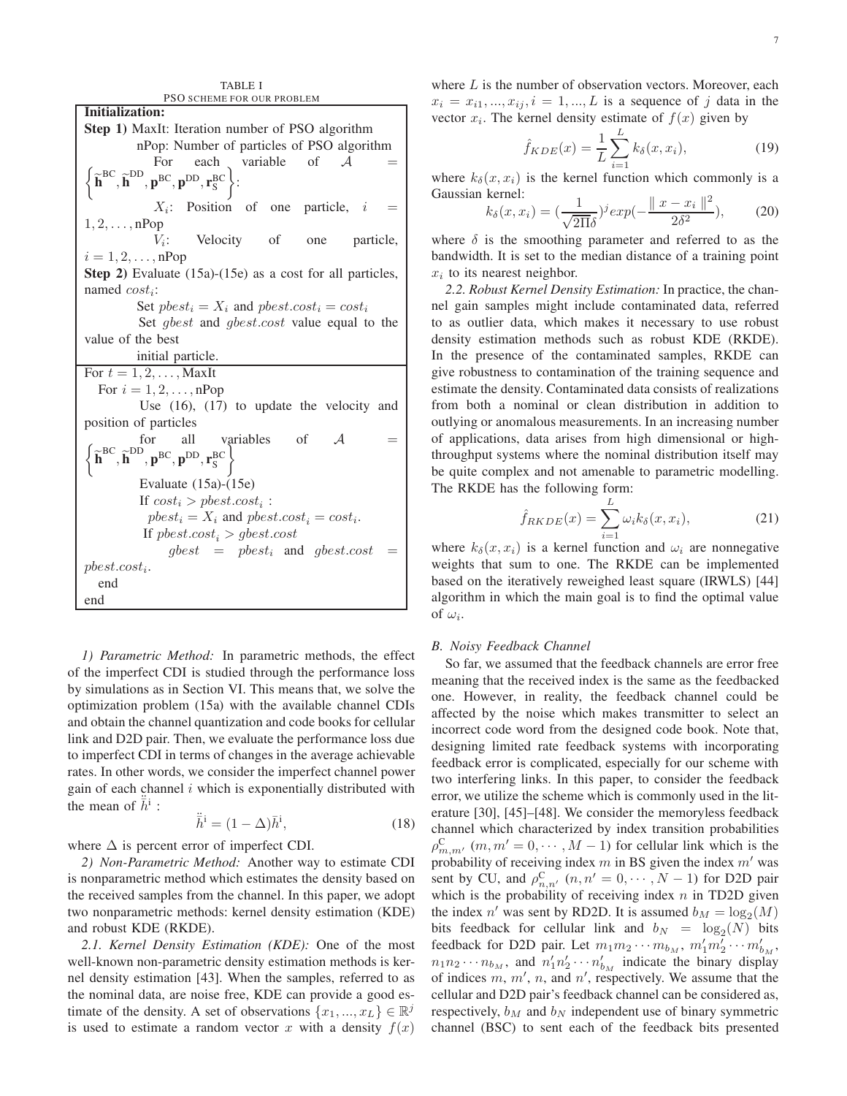<span id="page-6-0"></span>PSO SCHEME FOR OUR PROBLEM Initialization: Step 1) MaxIt: Iteration number of PSO algorithm nPop: Number of particles of PSO algorithm For each variable of  $A =$  $\widetilde{\textbf{h}}^{\text{BC}}, \widetilde{\textbf{h}}^{\text{DD}}, \textbf{p}^{\text{BC}}, \textbf{p}^{\text{DD}}, \textbf{r}_{\text{S}}^{\text{BC}}$  $\mathcal{L}$ :  $X_i$ : Position of one particle,  $i =$  $1, 2, \ldots, nPop$  $V_i$ : Velocity of one particle,  $i = 1, 2, \ldots, nP$ op Step 2) Evaluate [\(15a\)](#page-5-4)-[\(15e\)](#page-5-5) as a cost for all particles, named  $cost_i$ : Set  $pbest_i = X_i$  and  $pbest.cost_i = cost_i$ Set *gbest* and *gbest.cost* value equal to the value of the best initial particle. For  $t = 1, 2, \ldots$ , MaxIt For  $i = 1, 2, \ldots, nP$ op Use [\(16\)](#page-5-1), [\(17\)](#page-5-2) to update the velocity and position of particles for all variables of  $A =$  $\widetilde{\textbf{h}}^{\text{BC}}, \widetilde{\textbf{h}}^{\text{DD}}, \textbf{p}^{\text{BC}}, \textbf{p}^{\text{DD}}, \textbf{r}_{\text{S}}^{\text{BC}}$ variables Evaluate [\(15a\)](#page-5-4)-[\(15e\)](#page-5-5) If  $cost_i > pbest.cost_i$ :  $pbest_i = X_i$  and  $pbest.cost_i = cost_i$ . If  $pbest-cost_i > gbest-cost$  $qbest = pbest_i$  and  $qbest.cost$  $pbest.cost_i$ . end end

TABLE I

*1) Parametric Method:* In parametric methods, the effect of the imperfect CDI is studied through the performance loss by simulations as in Section [VI.](#page-8-0) This means that, we solve the optimization problem [\(15a\)](#page-5-4) with the available channel CDIs and obtain the channel quantization and code books for cellular link and D2D pair. Then, we evaluate the performance loss due to imperfect CDI in terms of changes in the average achievable rates. In other words, we consider the imperfect channel power gain of each channel  $i$  which is exponentially distributed with the mean of  $\ddot{\bar{h}}^i$ :

$$
\ddot{\bar{h}}^i = (1 - \Delta)\bar{h}^i,\tag{18}
$$

where  $\Delta$  is percent error of imperfect CDI.

*2) Non-Parametric Method:* Another way to estimate CDI is nonparametric method which estimates the density based on the received samples from the channel. In this paper, we adopt two nonparametric methods: kernel density estimation (KDE) and robust KDE (RKDE).

*2.1. Kernel Density Estimation (KDE):* One of the most well-known non-parametric density estimation methods is kernel density estimation [\[43\]](#page-12-14). When the samples, referred to as the nominal data, are noise free, KDE can provide a good estimate of the density. A set of observations  $\{x_1, ..., x_L\} \in \mathbb{R}^j$ is used to estimate a random vector x with a density  $f(x)$  where  $L$  is the number of observation vectors. Moreover, each  $x_i = x_{i1},..., x_{ij}, i = 1,...,L$  is a sequence of j data in the vector  $x_i$ . The kernel density estimate of  $f(x)$  given by

$$
\hat{f}_{KDE}(x) = \frac{1}{L} \sum_{i=1}^{L} k_{\delta}(x, x_i),
$$
\n(19)

where  $k_{\delta}(x, x_i)$  is the kernel function which commonly is a Gaussian kernel:  $\overline{2}$ 

$$
k_{\delta}(x, x_i) = \left(\frac{1}{\sqrt{2\Pi\delta}}\right)^j exp\left(-\frac{\|x - x_i\|^2}{2\delta^2}\right),\qquad(20)
$$

where  $\delta$  is the smoothing parameter and referred to as the bandwidth. It is set to the median distance of a training point  $x_i$  to its nearest neighbor.

*2.2. Robust Kernel Density Estimation:* In practice, the channel gain samples might include contaminated data, referred to as outlier data, which makes it necessary to use robust density estimation methods such as robust KDE (RKDE). In the presence of the contaminated samples, RKDE can give robustness to contamination of the training sequence and estimate the density. Contaminated data consists of realizations from both a nominal or clean distribution in addition to outlying or anomalous measurements. In an increasing number of applications, data arises from high dimensional or highthroughput systems where the nominal distribution itself may be quite complex and not amenable to parametric modelling. The RKDE has the following form:

$$
\hat{f}_{RKDE}(x) = \sum_{i=1}^{L} \omega_i k_\delta(x, x_i),\tag{21}
$$

where  $k_{\delta}(x, x_i)$  is a kernel function and  $\omega_i$  are nonnegative weights that sum to one. The RKDE can be implemented based on the iteratively reweighed least square (IRWLS) [\[44\]](#page-12-15) algorithm in which the main goal is to find the optimal value of  $\omega_i$ .

## *B. Noisy Feedback Channel*

So far, we assumed that the feedback channels are error free meaning that the received index is the same as the feedbacked one. However, in reality, the feedback channel could be affected by the noise which makes transmitter to select an incorrect code word from the designed code book. Note that, designing limited rate feedback systems with incorporating feedback error is complicated, especially for our scheme with two interfering links. In this paper, to consider the feedback error, we utilize the scheme which is commonly used in the literature [\[30\]](#page-12-3), [\[45\]](#page-12-16)–[\[48\]](#page-12-17). We consider the memoryless feedback channel which characterized by index transition probabilities  $\rho_{m,m'}^C$   $(m, m' = 0, \dots, M - 1)$  for cellular link which is the probability of receiving index  $m$  in BS given the index  $m'$  was sent by CU, and  $\rho_{n,n'}^C$   $(n, n' = 0, \dots, N - 1)$  for D2D pair which is the probability of receiving index  $n$  in TD2D given the index n' was sent by RD2D. It is assumed  $b_M = \log_2(M)$ bits feedback for cellular link and  $b_N = \log_2(N)$  bits feedback for D2D pair. Let  $m_1m_2\cdots m_{b_M}$ ,  $m'_1m'_2\cdots m'_{b_M}$ ,  $n_1 n_2 \cdots n_{b_M}$ , and  $n'_1 n'_2 \cdots n'_{b_M}$  indicate the binary display of indices  $m, m', n$ , and  $n'$ , respectively. We assume that the cellular and D2D pair's feedback channel can be considered as, respectively,  $b_M$  and  $b_N$  independent use of binary symmetric channel (BSC) to sent each of the feedback bits presented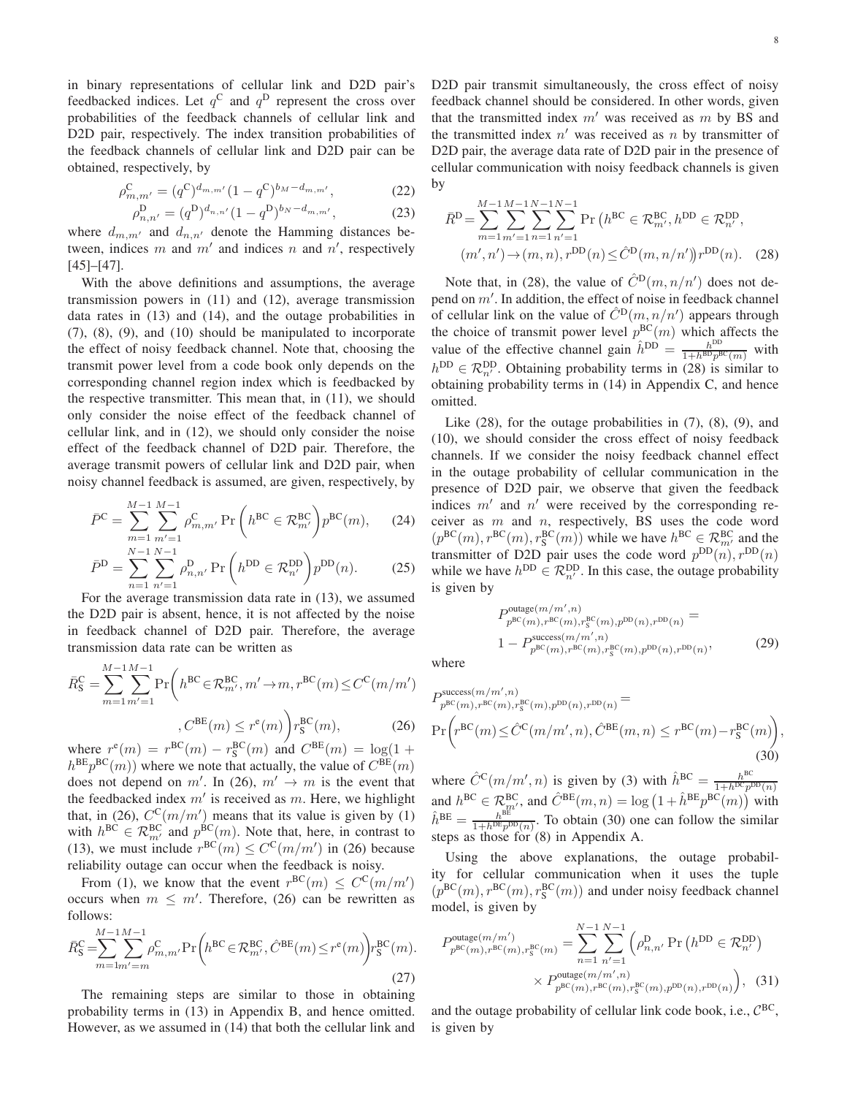in binary representations of cellular link and D2D pair's feedbacked indices. Let  $q^C$  and  $q^D$  represent the cross over probabilities of the feedback channels of cellular link and D2D pair, respectively. The index transition probabilities of the feedback channels of cellular link and D2D pair can be obtained, respectively, by

$$
\rho_{m,m'}^{\rm C} = (q^{\rm C})^{d_{m,m'}} (1 - q^{\rm C})^{b_M - d_{m,m'}},\tag{22}
$$

$$
\rho_{n,n'}^{\mathcal{D}} = (q^{\mathcal{D}})^{d_{n,n'}} (1 - q^{\mathcal{D}})^{b_N - d_{m,m'}},\tag{23}
$$

where  $d_{m,m'}$  and  $d_{n,n'}$  denote the Hamming distances between, indices m and  $m'$  and indices n and  $n'$ , respectively [\[45\]](#page-12-16)–[\[47\]](#page-12-18).

With the above definitions and assumptions, the average transmission powers in [\(11\)](#page-4-3) and [\(12\)](#page-4-4), average transmission data rates in [\(13\)](#page-4-1) and [\(14\)](#page-4-2), and the outage probabilities in [\(7\)](#page-3-8), [\(8\)](#page-3-9), [\(9\)](#page-3-10), and [\(10\)](#page-3-7) should be manipulated to incorporate the effect of noisy feedback channel. Note that, choosing the transmit power level from a code book only depends on the corresponding channel region index which is feedbacked by the respective transmitter. This mean that, in [\(11\)](#page-4-3), we should only consider the noise effect of the feedback channel of cellular link, and in [\(12\)](#page-4-4), we should only consider the noise effect of the feedback channel of D2D pair. Therefore, the average transmit powers of cellular link and D2D pair, when noisy channel feedback is assumed, are given, respectively, by

$$
\bar{P}^{\rm C} = \sum_{m=1}^{M-1} \sum_{m'=1}^{M-1} \rho_{m,m'}^{\rm C} \Pr\left(h^{\rm BC} \in \mathcal{R}_{m'}^{\rm BC}\right) p^{\rm BC}(m),\tag{24}
$$

$$
\bar{P}^{\rm D} = \sum_{n=1}^{N-1} \sum_{n'=1}^{N-1} \rho_{n,n'}^{\rm D} \Pr\left(h^{\rm DD} \in \mathcal{R}_{n'}^{\rm DD}\right) p^{\rm DD}(n). \tag{25}
$$

For the average transmission data rate in [\(13\)](#page-4-1), we assumed the D2D pair is absent, hence, it is not affected by the noise in feedback channel of D2D pair. Therefore, the average transmission data rate can be written as

$$
\bar{R}_{\mathcal{S}}^{\mathcal{C}} = \sum_{m=1}^{M-1} \sum_{m'=1}^{M-1} \Pr\left(h^{\text{BC}} \in \mathcal{R}_{m'}^{\text{BC}}, m' \to m, r^{\text{BC}}(m) \le C^{\mathcal{C}}(m/m')
$$
\n
$$
C^{\text{BE}}(m) \le r^{\text{e}}(m)\right) r_{\mathcal{S}}^{\text{BC}}(m),\tag{26}
$$

where  $r^e(m) = r^{\text{BC}}(m) - r^{\text{BC}}_S(m)$  and  $C^{\text{BE}}(m) = \log(1 +$  $h^{\text{BE}}p^{\text{BC}}(m)$ ) where we note that actually, the value of  $C^{\text{BE}}(m)$ does not depend on m'. In [\(26\)](#page-7-0),  $m' \rightarrow m$  is the event that the feedbacked index  $m'$  is received as m. Here, we highlight that, in [\(26\)](#page-7-0),  $C^{C}(m/m')$  means that its value is given by [\(1\)](#page-3-4) with  $h^{\text{BC}} \in \mathcal{R}_{m'}^{\text{BC}}$  and  $p^{\text{BC}}(m)$ . Note that, here, in contrast to [\(13\)](#page-4-1), we must include  $r^{BC}(m) \leq C^{C}(m/m')$  in [\(26\)](#page-7-0) because reliability outage can occur when the feedback is noisy.

From [\(1\)](#page-3-4), we know that the event  $r^{BC}(m) \leq C^{C}(m/m')$ occurs when  $m \leq m'$ . Therefore, [\(26\)](#page-7-0) can be rewritten as follows:

$$
\bar{R}_{\mathcal{S}}^{\mathcal{C}} = \sum_{m=1m'=m}^{M-1} \sum_{m'=m}^{M-1} \rho_{m,m'}^{\mathcal{C}} \Pr\left(h^{\mathcal{B}\mathcal{C}} \in \mathcal{R}_{m'}^{\mathcal{B}\mathcal{C}}, \hat{C}^{\mathcal{B}\mathcal{E}}(m) \le r^{\mathcal{C}}(m)\right) r_{\mathcal{S}}^{\mathcal{B}\mathcal{C}}(m). \tag{27}
$$

The remaining steps are similar to those in obtaining probability terms in [\(13\)](#page-4-1) in Appendix [B,](#page-10-0) and hence omitted. However, as we assumed in [\(14\)](#page-4-2) that both the cellular link and D2D pair transmit simultaneously, the cross effect of noisy feedback channel should be considered. In other words, given that the transmitted index  $m'$  was received as  $m$  by BS and the transmitted index  $n'$  was received as n by transmitter of D2D pair, the average data rate of D2D pair in the presence of cellular communication with noisy feedback channels is given by

<span id="page-7-1"></span>
$$
\bar{R}^{\text{D}} = \sum_{m=1}^{M-1} \sum_{m'=1}^{M-1} \sum_{n'=1}^{N-1} \sum_{n'=1}^{N-1} \Pr\left(h^{\text{BC}} \in \mathcal{R}_{m'}^{\text{BC}}, h^{\text{DD}} \in \mathcal{R}_{n'}^{\text{DD}},\right.
$$

$$
(m', n') \to (m, n), r^{\text{DD}}(n) \leq \hat{C}^{\text{D}}(m, n/n')) r^{\text{DD}}(n). \quad (28)
$$

Note that, in [\(28\)](#page-7-1), the value of  $\hat{C}^{\text{D}}(m, n/n')$  does not depend on m′ . In addition, the effect of noise in feedback channel of cellular link on the value of  $\hat{C}^{\text{D}}(m, n/n')$  appears through the choice of transmit power level  $p^{BC}(m)$  which affects the value of the effective channel gain  $\hat{h}^{\text{DD}} = \frac{h^{\text{DD}}}{1 + h^{\text{BD}} p^{\text{BC}}(m)}$  with  $h^{\text{DD}} \in \mathcal{R}^{\text{DD}}_{n'}$ . Obtaining probability terms in [\(28\)](#page-7-1) is similar to obtaining probability terms in [\(14\)](#page-4-2) in Appendix [C,](#page-11-13) and hence omitted.

<span id="page-7-3"></span>Like  $(28)$ , for the outage probabilities in  $(7)$ ,  $(8)$ ,  $(9)$ , and [\(10\)](#page-3-7), we should consider the cross effect of noisy feedback channels. If we consider the noisy feedback channel effect in the outage probability of cellular communication in the presence of D2D pair, we observe that given the feedback indices  $m'$  and  $n'$  were received by the corresponding receiver as  $m$  and  $n$ , respectively, BS uses the code word  $(p^{BC}(m), r^{BC}(m), r^{BC}(m))$  while we have  $h^{BC} \in \mathcal{R}_{m'}^{BC}$  and the transmitter of D2D pair uses the code word  $p^{DD}(n)$ ,  $r^{DD}(n)$ while we have  $h^{\text{DD}} \in \mathcal{R}^{\text{DD}}_{n'}$ . In this case, the outage probability is given by

<span id="page-7-4"></span><span id="page-7-2"></span>
$$
P_{p^{\text{BU}}(m),r^{\text{BC}}(m),r^{\text{BC}}(m),p^{\text{DD}}(n),r^{\text{DD}}(n)} =
$$
  
1 - P\_{p^{\text{BU}}(m),r^{\text{BC}}(m),r^{\text{BC}}(m),r^{\text{DD}}(n),r^{\text{DD}}(n)}, (29)

where

<span id="page-7-0"></span>
$$
P_{p^{\text{BC}}(m),r^{\text{BC}}(m),r^{\text{BC}}_3(m),r^{\text{BC}}_3(m),r^{\text{DD}}_3(n),r^{\text{DD}}_3(m)} =
$$
  
\n
$$
\Pr\left(r^{\text{BC}}(m) \leq \hat{C}^{\text{C}}(m/m',n), \hat{C}^{\text{BE}}(m,n) \leq r^{\text{BC}}(m) - r^{\text{BC}}_S(m)\right),
$$
\n(30)

where  $\hat{C}^{\text{C}}(m/m', n)$  is given by [\(3\)](#page-3-1) with  $\hat{h}^{\text{BC}} = \frac{h^{\text{BC}}}{1 + h^{\text{DC}} n!}$  $1+h^{DC}p^{DD}(n)$ and  $h^{\text{BC}} \in \mathcal{R}_{m'}^{\text{BC}}$ , and  $\hat{C}^{\text{BE}}(m, n) = \log (1 + \hat{h}^{\text{BE}} p^{\text{BC}}(m))$  with  $\hat{h}^{\text{BE}} = \frac{h^{\text{BE}}}{1 + h^{\text{DE}} n^{\text{E}}}$  $\frac{h^{\text{th}}}{1+h^{\text{DE}}p^{\text{DD}}(n)}$ . To obtain [\(30\)](#page-7-2) one can follow the similar steps as those for [\(8\)](#page-3-9) in Appendix [A.](#page-9-1)

Using the above explanations, the outage probability for cellular communication when it uses the tuple  $(p^{BC}(m), r^{BC}(m), r^{BC}(m))$  and under noisy feedback channel model, is given by

$$
P_{p^{\text{B}\text{C}}(m),r^{\text{B}\text{C}}(m),r^{\text{B}\text{C}}(m)}^{\text{outage}(m/m')} = \sum_{n=1}^{N-1} \sum_{n'=1}^{N-1} \left( \rho_{n,n'}^{\text{D}} \Pr\left(h^{\text{DD}} \in \mathcal{R}_{n'}^{\text{DD}}\right) \times P_{p^{\text{B}\text{C}}(m),r^{\text{B}\text{C}}(m),r^{\text{B}\text{C}}(m),r^{\text{BD}}(n),r^{\text{DD}}(n)}\right), (31)
$$

and the outage probability of cellular link code book, i.e.,  $C^{BC}$ , is given by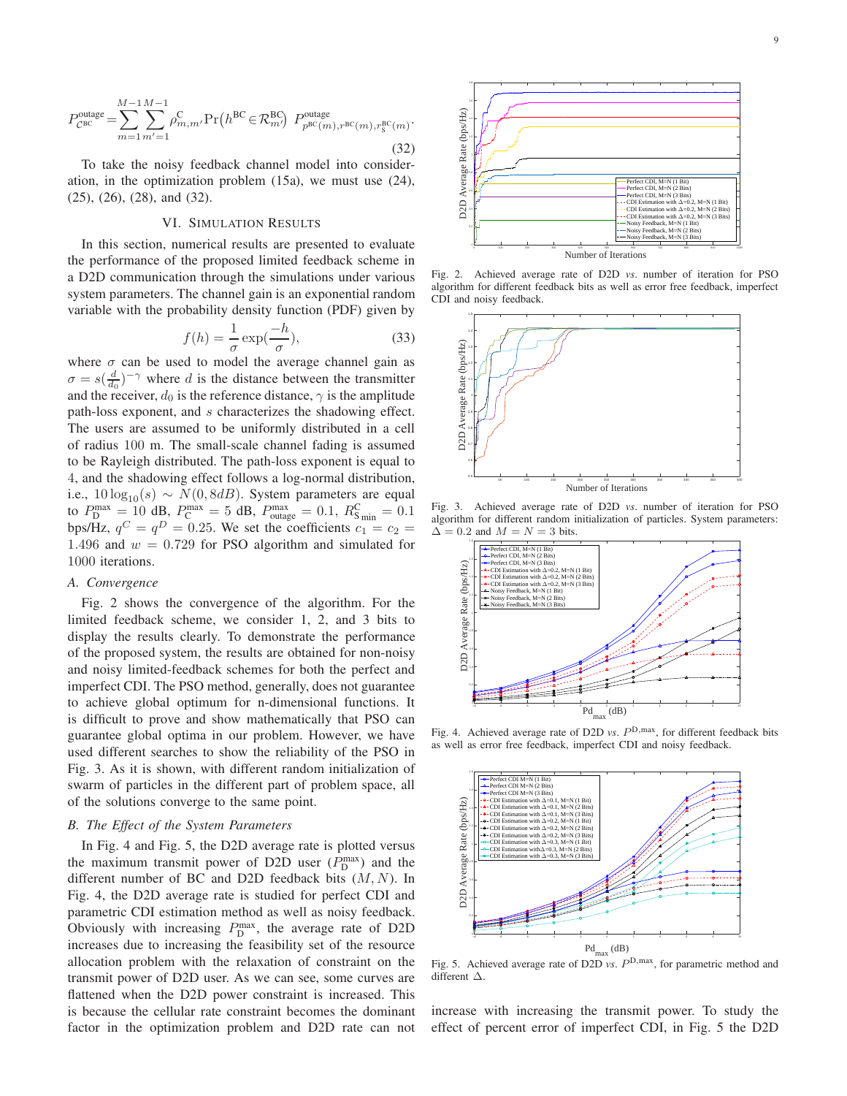$$
P_{\mathcal{C}^{\text{BCC}}}^{\text{outage}} = \sum_{m=1}^{M-1} \sum_{m'=1}^{M-1} \rho_{m,m'}^{\text{C}} \Pr\left(h^{\text{BC}} \in \mathcal{R}_{m'}^{\text{BC}}\right) \ P_{p^{\text{BC}}(m),r^{\text{BC}}(m),r^{\text{BC}}_S(m)}^{\text{outage}}.
$$
\n(32)

To take the noisy feedback channel model into consideration, in the optimization problem [\(15a\)](#page-5-4), we must use [\(24\)](#page-7-3), [\(25\)](#page-7-4), [\(26\)](#page-7-0), [\(28\)](#page-7-1), and [\(32\)](#page-8-1).

## VI. SIMULATION RESULTS

<span id="page-8-0"></span>In this section, numerical results are presented to evaluate the performance of the proposed limited feedback scheme in a D2D communication through the simulations under various system parameters. The channel gain is an exponential random variable with the probability density function (PDF) given by

$$
f(h) = \frac{1}{\sigma} \exp(\frac{-h}{\sigma}),\tag{33}
$$

where  $\sigma$  can be used to model the average channel gain as  $\sigma = s(\frac{d}{d_0})^{-\gamma}$  where d is the distance between the transmitter and the receiver,  $d_0$  is the reference distance,  $\gamma$  is the amplitude path-loss exponent, and s characterizes the shadowing effect. The users are assumed to be uniformly distributed in a cell of radius 100 m. The small-scale channel fading is assumed to be Rayleigh distributed. The path-loss exponent is equal to 4, and the shadowing effect follows a log-normal distribution, i.e.,  $10 \log_{10}(s) \sim N(0, 8dB)$ . System parameters are equal to  $P_{\text{D}}^{\text{max}} = 10 \text{ dB}, P_{\text{C}}^{\text{max}} = 5 \text{ dB}, P_{\text{outage}}^{\text{max}} = 0.1, R_{\text{S}_{\text{min}}}^{\text{C}} = 0.1$ bps/Hz,  $q^C = q^D = 0.25$ . We set the coefficients  $c_1 = c_2$ 1.496 and  $w = 0.729$  for PSO algorithm and simulated for 1000 iterations.

#### *A. Convergence*

Fig. [2](#page-8-2) shows the convergence of the algorithm. For the limited feedback scheme, we consider 1, 2, and 3 bits to display the results clearly. To demonstrate the performance of the proposed system, the results are obtained for non-noisy and noisy limited-feedback schemes for both the perfect and imperfect CDI. The PSO method, generally, does not guarantee to achieve global optimum for n-dimensional functions. It is difficult to prove and show mathematically that PSO can guarantee global optima in our problem. However, we have used different searches to show the reliability of the PSO in Fig. [3.](#page-8-3) As it is shown, with different random initialization of swarm of particles in the different part of problem space, all of the solutions converge to the same point.

#### *B. The Effect of the System Parameters*

In Fig. [4](#page-8-4) and Fig. [5,](#page-8-5) the D2D average rate is plotted versus the maximum transmit power of D2D user  $(P_{\text{D}}^{\text{max}})$  and the different number of BC and D2D feedback bits  $(M, N)$ . In Fig. [4,](#page-8-4) the D2D average rate is studied for perfect CDI and parametric CDI estimation method as well as noisy feedback. Obviously with increasing  $P_{\text{D}}^{\text{max}}$ , the average rate of D2D increases due to increasing the feasibility set of the resource allocation problem with the relaxation of constraint on the transmit power of D2D user. As we can see, some curves are flattened when the D2D power constraint is increased. This is because the cellular rate constraint becomes the dominant factor in the optimization problem and D2D rate can not

<span id="page-8-1"></span>

Fig. 2. Achieved average rate of D2D *vs*. number of iteration for PSO algorithm for different feedback bits as well as error free feedback, imperfect CDI and noisy feedback.

<span id="page-8-2"></span>

Fig. 3. Achieved average rate of D2D *vs*. number of iteration for PSO algorithm for different random initialization of particles. System parameters:  $\Delta = 0.2$  and  $M = N = 3$  bits.

<span id="page-8-3"></span>

Fig. 4. Achieved average rate of D2D *vs.*  $P^{D, \max}$ , for different feedback bits as well as error free feedback, imperfect CDI and noisy feedback.

<span id="page-8-4"></span>

<span id="page-8-5"></span>Fig. 5. Achieved average rate of D2D *vs.*  $P^{D, max}$ , for parametric method and different ∆.

increase with increasing the transmit power. To study the effect of percent error of imperfect CDI, in Fig. [5](#page-8-5) the D2D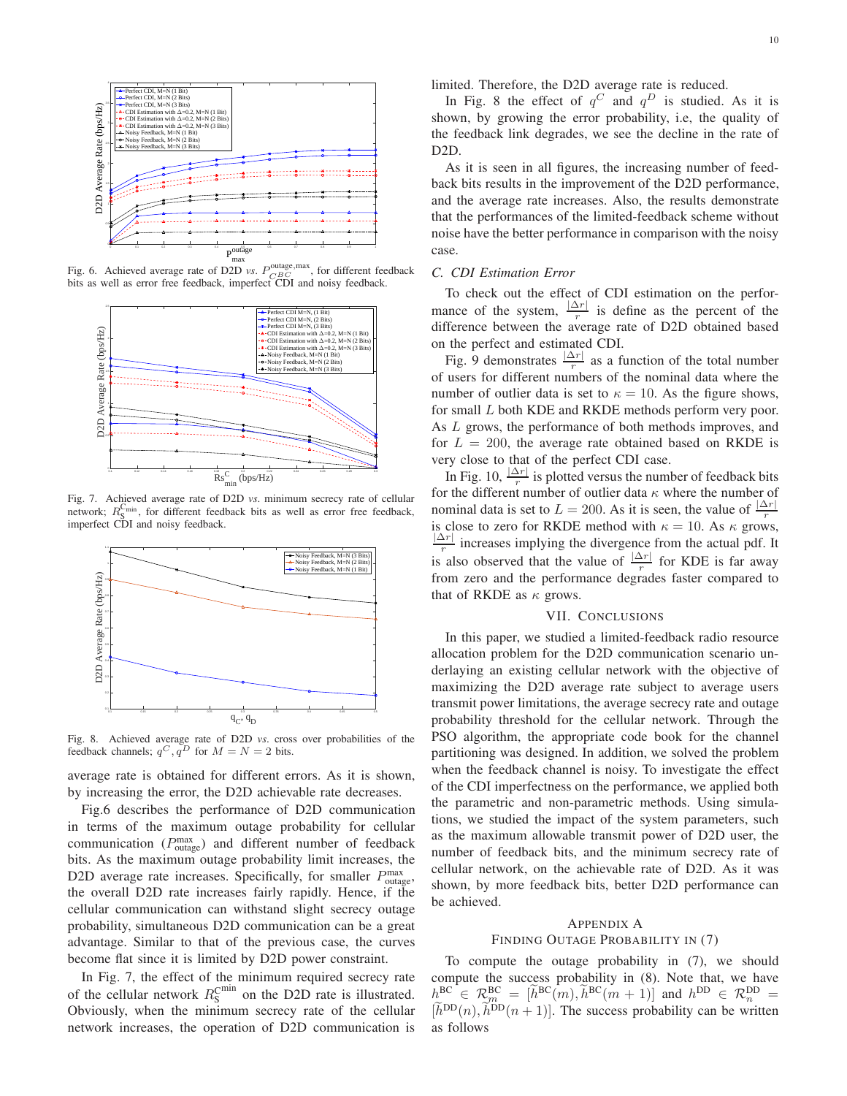

Fig. 6. Achieved average rate of D2D *vs.*  $P_{CBC}^{\text{outage,max}}$ , for different feedback bits as well as error free feedback, imperfect CDI and noisy feedback.

<span id="page-9-2"></span>

<span id="page-9-3"></span>Fig. 7. Achieved average rate of D2D *vs*. minimum secrecy rate of cellular network;  $R_S^{\text{C}_{\text{min}}}$ , for different feedback bits as well as error free feedback, imperfect CDI and noisy feedback.



<span id="page-9-4"></span>Fig. 8. Achieved average rate of D2D *vs*. cross over probabilities of the feedback channels;  $q^C$ ,  $q^D$  for  $M = N = 2$  bits.

average rate is obtained for different errors. As it is shown, by increasing the error, the D2D achievable rate decreases.

Fig[.6](#page-9-2) describes the performance of D2D communication in terms of the maximum outage probability for cellular communication ( $P_{\text{outage}}^{\text{max}}$ ) and different number of feedback bits. As the maximum outage probability limit increases, the D2D average rate increases. Specifically, for smaller  $P_{\text{outage}}^{\text{max}}$ , the overall D2D rate increases fairly rapidly. Hence, if the cellular communication can withstand slight secrecy outage probability, simultaneous D2D communication can be a great advantage. Similar to that of the previous case, the curves become flat since it is limited by D2D power constraint.

In Fig. [7,](#page-9-3) the effect of the minimum required secrecy rate of the cellular network  $R_{\rm S}^{\rm Cmin}$  on the D2D rate is illustrated. Obviously, when the minimum secrecy rate of the cellular network increases, the operation of D2D communication is limited. Therefore, the D2D average rate is reduced.

In Fig. [8](#page-9-4) the effect of  $q^C$  and  $q^D$  is studied. As it is shown, by growing the error probability, i.e, the quality of the feedback link degrades, we see the decline in the rate of D2D.

As it is seen in all figures, the increasing number of feedback bits results in the improvement of the D2D performance, and the average rate increases. Also, the results demonstrate that the performances of the limited-feedback scheme without noise have the better performance in comparison with the noisy case.

## *C. CDI Estimation Error*

To check out the effect of CDI estimation on the performance of the system,  $\frac{|\Delta r|}{r}$  is define as the percent of the difference between the average rate of D2D obtained based on the perfect and estimated CDI.

Fig. [9](#page-10-1) demonstrates  $\frac{|\Delta r|}{r}$  as a function of the total number of users for different numbers of the nominal data where the number of outlier data is set to  $\kappa = 10$ . As the figure shows, for small L both KDE and RKDE methods perform very poor. As L grows, the performance of both methods improves, and for  $L = 200$ , the average rate obtained based on RKDE is very close to that of the perfect CDI case.

In Fig. [10,](#page-10-2)  $\frac{|\Delta r|}{r}$  is plotted versus the number of feedback bits for the different number of outlier data  $\kappa$  where the number of nominal data is set to  $L = 200$ . As it is seen, the value of  $\frac{|\Delta r|}{r}$ is close to zero for RKDE method with  $\kappa = 10$ . As  $\kappa$  grows,  $|\Delta r|$  $\frac{dY}{dr}$  increases implying the divergence from the actual pdf. It is also observed that the value of  $\frac{|\Delta r|}{r}$  for KDE is far away from zero and the performance degrades faster compared to that of RKDE as  $\kappa$  grows.

## VII. CONCLUSIONS

<span id="page-9-0"></span>In this paper, we studied a limited-feedback radio resource allocation problem for the D2D communication scenario underlaying an existing cellular network with the objective of maximizing the D2D average rate subject to average users transmit power limitations, the average secrecy rate and outage probability threshold for the cellular network. Through the PSO algorithm, the appropriate code book for the channel partitioning was designed. In addition, we solved the problem when the feedback channel is noisy. To investigate the effect of the CDI imperfectness on the performance, we applied both the parametric and non-parametric methods. Using simulations, we studied the impact of the system parameters, such as the maximum allowable transmit power of D2D user, the number of feedback bits, and the minimum secrecy rate of cellular network, on the achievable rate of D2D. As it was shown, by more feedback bits, better D2D performance can be achieved.

#### <span id="page-9-1"></span>APPENDIX A

#### FINDING OUTAGE PROBABILITY IN [\(7\)](#page-3-8)

To compute the outage probability in [\(7\)](#page-3-8), we should compute the success probability in [\(8\)](#page-3-9). Note that, we have  $h^{\text{BC}} \in \mathcal{R}_m^{\text{BC}} = [h^{\text{BC}}(m), h^{\text{BC}}(m+1)]$  and  $h^{\text{DD}} \in \mathcal{R}_n^{\text{DD}} =$  $[\tilde{h}^{DD}(n), \tilde{h}^{DD}(n+1)]$ . The success probability can be written as follows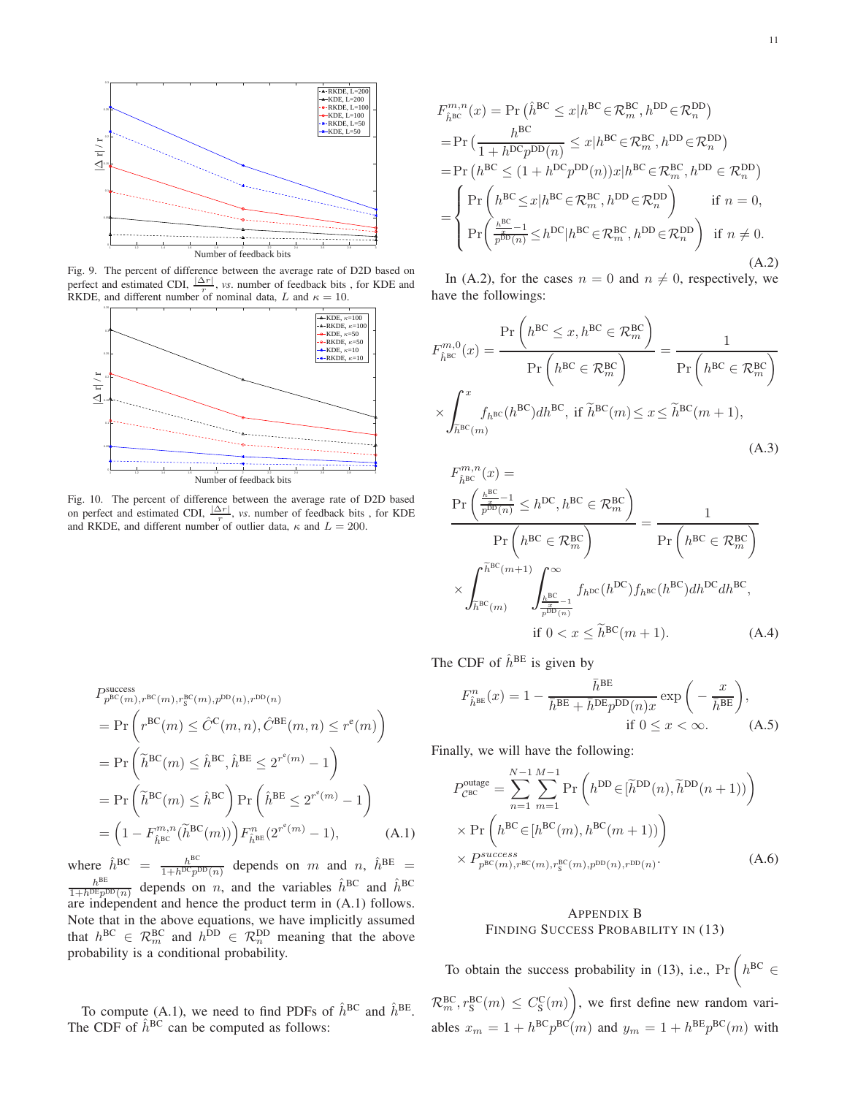

Fig. 9. The percent of difference between the average rate of D2D based on perfect and estimated CDI,  $\frac{|\Delta r|}{r}$ , *vs.* number of feedback bits, for KDE and RKDE, and different number of nominal data, L and  $\kappa = 10$ .

<span id="page-10-1"></span>

<span id="page-10-2"></span>Fig. 10. The percent of difference between the average rate of D2D based on perfect and estimated CDI,  $\frac{|\Delta r|}{r}$ , *vs*. number of feedback bits, for KDE and RKDE, and different number of outlier data,  $\kappa$  and  $L = 200$ .

$$
P_{p^{\text{BC}}(m),r^{\text{BC}}(m),r^{\text{BC}}(m),p^{\text{DD}}(n),r^{\text{DD}}(n)}
$$
\n
$$
= \Pr\left(r^{\text{BC}}(m) \leq \hat{C}^{\text{C}}(m,n), \hat{C}^{\text{BE}}(m,n) \leq r^{\text{e}}(m)\right)
$$
\n
$$
= \Pr\left(\tilde{h}^{\text{BC}}(m) \leq \hat{h}^{\text{BC}}, \hat{h}^{\text{BE}} \leq 2^{r^{\text{e}}(m)} - 1\right)
$$
\n
$$
= \Pr\left(\tilde{h}^{\text{BC}}(m) \leq \hat{h}^{\text{BC}}\right) \Pr\left(\hat{h}^{\text{BE}} \leq 2^{r^{\text{e}}(m)} - 1\right)
$$
\n
$$
= \left(1 - F_{\hat{h}^{\text{BC}}}^{m,n}(\tilde{h}^{\text{BC}}(m))\right) F_{\hat{h}^{\text{BE}}}^{n}(2^{r^{\text{e}}(m)} - 1), \tag{A.1}
$$

where  $\hat{h}^{\text{BC}} = \frac{h^{\text{BC}}}{1 + h^{\text{DC}} n!}$  $\frac{h^{BC}}{1+h^{DC}p^{DD}(n)}$  depends on m and n,  $\hat{h}^{BE}$  =  $h^{\text{BE}}$  $\frac{h^{\text{BE}}}{1+h^{\text{DE}}p^{\text{DD}}(n)}$  depends on *n*, and the variables  $\hat{h}^{\text{BC}}$  and  $\hat{h}^{\text{BC}}$ are independent and hence the product term in  $(A.1)$  follows. Note that in the above equations, we have implicitly assumed that  $h^{\text{BC}} \in \mathcal{R}_m^{\text{BC}}$  and  $h^{\text{DD}} \in \mathcal{R}_n^{\text{DD}}$  meaning that the above probability is a conditional probability.

To compute [\(A.1\)](#page-10-3), we need to find PDFs of  $\hat{h}^{BC}$  and  $\hat{h}^{BE}$ . The CDF of  $\hat{h}^{BC}$  can be computed as follows:

$$
F_{\hat{h}^{\text{BC}}}^{m,n}(x) = \Pr\left(\hat{h}^{\text{BC}} \leq x | h^{\text{BC}} \in \mathcal{R}_{m}^{\text{BC}}, h^{\text{DD}} \in \mathcal{R}_{n}^{\text{DD}}\right)
$$
  
\n
$$
= \Pr\left(\frac{h^{\text{BC}}}{1 + h^{\text{DC}} p^{\text{DD}}(n)} \leq x | h^{\text{BC}} \in \mathcal{R}_{m}^{\text{BC}}, h^{\text{DD}} \in \mathcal{R}_{n}^{\text{DD}}\right)
$$
  
\n
$$
= \Pr\left(h^{\text{BC}} \leq (1 + h^{\text{DC}} p^{\text{DD}}(n)) x | h^{\text{BC}} \in \mathcal{R}_{m}^{\text{BC}}, h^{\text{DD}} \in \mathcal{R}_{n}^{\text{DD}}\right)
$$
  
\n
$$
= \left\{\Pr\left(h^{\text{BC}} \leq x | h^{\text{BC}} \in \mathcal{R}_{m}^{\text{BC}}, h^{\text{DD}} \in \mathcal{R}_{n}^{\text{DD}}\right) \text{ if } n = 0,
$$
  
\n
$$
\Pr\left(\frac{h^{\text{BC}}}{p^{\text{DD}}(n)} \leq h^{\text{DC}} | h^{\text{BC}} \in \mathcal{R}_{m}^{\text{BC}}, h^{\text{DD}} \in \mathcal{R}_{n}^{\text{DD}}\right) \text{ if } n \neq 0.
$$
  
\n(A.2)

<span id="page-10-4"></span>In [\(A.2\)](#page-10-4), for the cases  $n = 0$  and  $n \neq 0$ , respectively, we have the followings:

$$
F_{\hat{h}^{\text{BC}}}^{m,0}(x) = \frac{\Pr\left(h^{\text{BC}} \le x, h^{\text{BC}} \in \mathcal{R}_m^{\text{BC}}\right)}{\Pr\left(h^{\text{BC}} \in \mathcal{R}_m^{\text{BC}}\right)} = \frac{1}{\Pr\left(h^{\text{BC}} \in \mathcal{R}_m^{\text{BC}}\right)}
$$

$$
\times \int_{\tilde{h}^{\text{BC}}(m)}^{x} f_{h^{\text{BC}}}(h^{\text{BC}}) dh^{\text{BC}}, \text{ if } \tilde{h}^{\text{BC}}(m) \le x \le \tilde{h}^{\text{BC}}(m+1),
$$
(A.3)

$$
F_{\hat{h}^{\text{BC}}}^{m,n}(x) =
$$
\n
$$
\frac{\Pr\left(\frac{h^{\text{BC}}}{p^{\text{BD}}(n)} \le h^{\text{DC}}, h^{\text{BC}} \in \mathcal{R}_m^{\text{BC}}\right)}{\Pr\left(h^{\text{BC}} \in \mathcal{R}_m^{\text{BC}}\right)} = \frac{1}{\Pr\left(h^{\text{BC}} \in \mathcal{R}_m^{\text{BC}}\right)}
$$
\n
$$
\times \int_{\tilde{h}^{\text{BC}}(m)}^{\tilde{h}^{\text{BC}}(m+1)} \int_{\frac{h^{\text{BC}}}{p^{\text{BD}}(n)}}^{\infty} f_h^{\text{DC}}(h^{\text{DC}}) f_h^{\text{BC}}(h^{\text{BC}}) dh^{\text{DC}} dh^{\text{BC}},
$$
\nif  $0 < x \le \tilde{h}^{\text{BC}}(m+1)$ . (A.4)

The CDF of  $\hat{h}^{\text{BE}}$  is given by

$$
F_{\hat{h}^{\text{BE}}}^{n}(x) = 1 - \frac{\bar{h}^{\text{BE}}}{\bar{h}^{\text{BE}} + \bar{h}^{\text{DE}} p^{\text{DD}}(n)x} \exp\left(-\frac{x}{\bar{h}^{\text{BE}}}\right),
$$
  
if  $0 \le x < \infty$ . (A.5)

Finally, we will have the following:

<span id="page-10-3"></span>
$$
P_{\text{CEC}}^{\text{outage}} = \sum_{n=1}^{N-1} \sum_{m=1}^{M-1} \Pr\left(h^{\text{DD}} \in [\tilde{h}^{\text{DD}}(n), \tilde{h}^{\text{DD}}(n+1))\right)
$$
  
× 
$$
\Pr\left(h^{\text{BC}} \in [h^{\text{BC}}(m), h^{\text{BC}}(m+1))\right)
$$
  
× 
$$
P_{p^{\text{BC}}(m), r^{\text{BC}}(m), r^{\text{BD}}_s(m), r^{\text{DD}}(n), r^{\text{DD}}(n)}.
$$
 (A.6)

# <span id="page-10-0"></span>APPENDIX B FINDING SUCCESS PROBABILITY IN [\(13\)](#page-4-1)

To obtain the success probability in [\(13\)](#page-4-1), i.e.,  $\Pr\left(h^{\text{BC}}\in\mathbb{R}^d\right)$  $\mathcal{R}_m^{\text{BC}}, r_{\text{S}}^{\text{BC}}(m) \leq C_{\text{S}}^{\text{C}}(m)$  $\overline{ }$ , we first define new random variables  $x_m = 1 + h^{\text{BC}} p^{\text{BC}}(m)$  and  $y_m = 1 + h^{\text{BE}} p^{\text{BC}}(m)$  with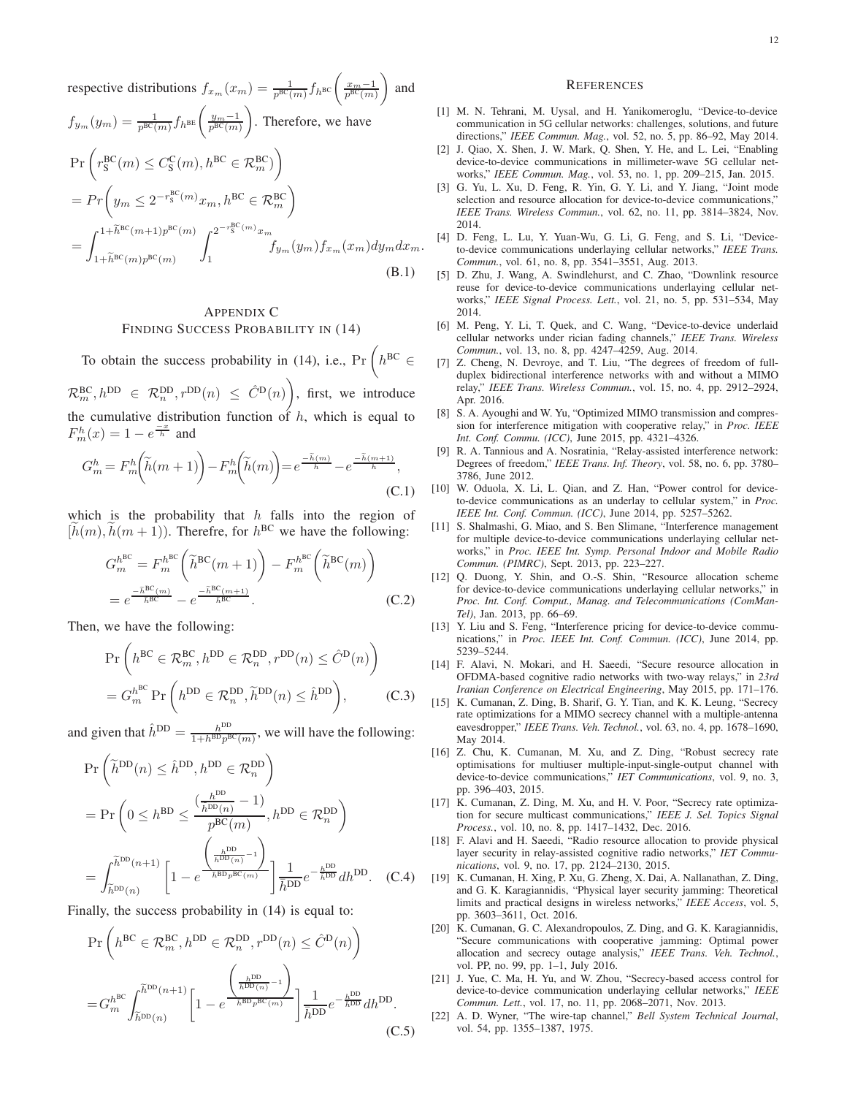respective distributions  $f_{x_m}(x_m) = \frac{1}{p^{\text{BC}}(m)} f_h$ <sub>BC</sub> $\left(\frac{x_m-1}{p^{\text{BC}}(m)}\right)$  $\overline{ }$ and  $f_{y_m}(y_m) = \frac{1}{p^{\text{BC}}(m)} f_{h^{\text{BE}}} \left( \frac{y_m-1}{p^{\text{BC}}(m)} \right)$  $\overline{ }$ . Therefore, we have  $\Pr\left(r_{\rm S}^{\rm BC}(m) \leq C_{\rm S}^{\rm C}(m), h^{\rm BC} \in \mathcal{R}_m^{\rm BC}\right)$  $\setminus$  $= Pr\left(y_m \leq 2^{-r_s^{\text{BC}}(m)} x_m, h^{\text{BC}} \in \mathcal{R}_m^{\text{BC}}\right)$  $\overline{ }$ =  $\int$ <sup>1+ $\widetilde{h}^{\text{BC}}(m+1)p^{\text{BC}}(m)$ </sup>  $1+\widetilde{h}^{\text{BC}}(m)p^{\text{BC}}(m)$  $\int_{0}^{2^{-r_{\rm S}^{\rm BC}(m)}x_m}$  $f_{y_m}(y_m)f_{x_m}(x_m)dy_m dx_m.$ (B.1)

# <span id="page-11-13"></span>APPENDIX C FINDING SUCCESS PROBABILITY IN [\(14\)](#page-4-2)

To obtain the success probability in [\(14\)](#page-4-2), i.e.,  $\Pr\left(h^{\text{BC}}\in\mathbb{R}^d\right)$ 

 $\mathcal{R}_m^{\text{BC}}, h^{\text{DD}} \in \mathcal{R}_n^{\text{DD}}, r^{\text{DD}}(n) \leq \hat{C}^{\text{D}}(n)$ , first, we introduce the cumulative distribution function of  $h$ , which is equal to  $F_m^h(x) = 1 - e^{\frac{-x}{h}}$  and

$$
G_m^h = F_m^h\bigg(\tilde{h}(m+1)\bigg) - F_m^h\bigg(\tilde{h}(m)\bigg) = e^{\frac{-\tilde{h}(m)}{\tilde{h}}} - e^{\frac{-\tilde{h}(m+1)}{\tilde{h}}},\tag{C.1}
$$

which is the probability that  $h$  falls into the region of  $[h(m), h(m + 1))$ . Therefre, for  $h^{BC}$  we have the following:

$$
G_m^{h^{BC}} = F_m^{h^{BC}} \left( \tilde{h}^{BC}(m+1) \right) - F_m^{h^{BC}} \left( \tilde{h}^{BC}(m) \right)
$$
  
=  $e^{-\tilde{h}^{BC}(m)} \over \tilde{h}^{BC}} - e^{-\tilde{h}^{BC}(m+1)}.$  (C.2)

Then, we have the following:

$$
\Pr\left(h^{\text{BC}} \in \mathcal{R}_m^{\text{BC}}, h^{\text{DD}} \in \mathcal{R}_n^{\text{DD}}, r^{\text{DD}}(n) \leq \hat{C}^{\text{D}}(n)\right)
$$

$$
= G_m^{h^{\text{BC}}} \Pr\left(h^{\text{DD}} \in \mathcal{R}_n^{\text{DD}}, \tilde{h}^{\text{DD}}(n) \leq \hat{h}^{\text{DD}}\right), \tag{C.3}
$$

and given that  $\hat{h}^{\text{DD}} = \frac{h^{\text{DD}}}{1 + h^{\text{BD}} n^{\text{BD}}}$  $\frac{h^{DD}}{1+h^{BD}p^{BC}(m)}$ , we will have the following:

$$
\Pr\left(\tilde{h}^{DD}(n) \leq \hat{h}^{DD}, h^{DD} \in \mathcal{R}_n^{DD}\right)
$$
\n
$$
= \Pr\left(0 \leq h^{BD} \leq \frac{\left(\frac{h^{DD}}{h^{DD}(n)} - 1\right)}{p^{BC}(m)}, h^{DD} \in \mathcal{R}_n^{DD}\right)
$$
\n
$$
= \int_{\tilde{h}^{DD}(n)}^{\tilde{h}^{DD}(n+1)} \left[1 - e^{\frac{\left(\frac{h^{DD}}{h^{DD}(n)} - 1\right)}{h^{BD}p^{BC}(m)}}\right] \frac{1}{\bar{h}^{DD}} e^{-\frac{h^{DD}}{\bar{h}^{DD}}} dh^{DD}.
$$
 (C.4)

Finally, the success probability in [\(14\)](#page-4-2) is equal to:

$$
\Pr\left(h^{\text{BC}} \in \mathcal{R}_m^{\text{BC}}, h^{\text{DD}} \in \mathcal{R}_n^{\text{DD}}, r^{\text{DD}}(n) \leq \hat{C}^{\text{D}}(n)\right)
$$
\n
$$
= G_m^{h^{\text{BC}}} \int_{\tilde{h}^{\text{DD}}(n)}^{\tilde{h}^{\text{DD}}(n+1)} \left[1 - e^{\frac{\left(\frac{h^{\text{DD}}}{\tilde{h}^{\text{DD}}(n)} - 1\right)}{\tilde{h}^{\text{DD}}} \right] \frac{1}{\tilde{h}^{\text{DD}}} e^{-\frac{h^{\text{DD}}}{\tilde{h}^{\text{DD}}} dh^{\text{DD}}}.
$$
\n(C.5)

#### **REFERENCES**

- <span id="page-11-0"></span>[1] M. N. Tehrani, M. Uysal, and H. Yanikomeroglu, "Device-to-device communication in 5G cellular networks: challenges, solutions, and future directions," *IEEE Commun. Mag.*, vol. 52, no. 5, pp. 86–92, May 2014.
- [2] J. Qiao, X. Shen, J. W. Mark, Q. Shen, Y. He, and L. Lei, "Enabling device-to-device communications in millimeter-wave 5G cellular networks," *IEEE Commun. Mag.*, vol. 53, no. 1, pp. 209–215, Jan. 2015.
- <span id="page-11-1"></span>[3] G. Yu, L. Xu, D. Feng, R. Yin, G. Y. Li, and Y. Jiang, "Joint mode selection and resource allocation for device-to-device communications," *IEEE Trans. Wireless Commun.*, vol. 62, no. 11, pp. 3814–3824, Nov. 2014.
- <span id="page-11-2"></span>[4] D. Feng, L. Lu, Y. Yuan-Wu, G. Li, G. Feng, and S. Li, "Deviceto-device communications underlaying cellular networks," *IEEE Trans. Commun.*, vol. 61, no. 8, pp. 3541–3551, Aug. 2013.
- [5] D. Zhu, J. Wang, A. Swindlehurst, and C. Zhao, "Downlink resource reuse for device-to-device communications underlaying cellular networks," *IEEE Signal Process. Lett.*, vol. 21, no. 5, pp. 531–534, May 2014.
- <span id="page-11-3"></span>[6] M. Peng, Y. Li, T. Quek, and C. Wang, "Device-to-device underlaid cellular networks under rician fading channels," *IEEE Trans. Wireless Commun.*, vol. 13, no. 8, pp. 4247–4259, Aug. 2014.
- <span id="page-11-4"></span>[7] Z. Cheng, N. Devroye, and T. Liu, "The degrees of freedom of fullduplex bidirectional interference networks with and without a MIMO relay," *IEEE Trans. Wireless Commun.*, vol. 15, no. 4, pp. 2912–2924, Apr. 2016.
- [8] S. A. Ayoughi and W. Yu, "Optimized MIMO transmission and compression for interference mitigation with cooperative relay," in *Proc. IEEE Int. Conf. Commu. (ICC)*, June 2015, pp. 4321–4326.
- <span id="page-11-5"></span>R. A. Tannious and A. Nosratinia, "Relay-assisted interference network: Degrees of freedom," *IEEE Trans. Inf. Theory*, vol. 58, no. 6, pp. 3780– 3786, June 2012.
- <span id="page-11-6"></span>[10] W. Oduola, X. Li, L. Qian, and Z. Han, "Power control for deviceto-device communications as an underlay to cellular system," in *Proc. IEEE Int. Conf. Commun. (ICC)*, June 2014, pp. 5257–5262.
- <span id="page-11-7"></span>[11] S. Shalmashi, G. Miao, and S. Ben Slimane, "Interference management for multiple device-to-device communications underlaying cellular networks," in *Proc. IEEE Int. Symp. Personal Indoor and Mobile Radio Commun. (PIMRC)*, Sept. 2013, pp. 223–227.
- <span id="page-11-8"></span>[12] Q. Duong, Y. Shin, and O.-S. Shin, "Resource allocation scheme for device-to-device communications underlaying cellular networks," in *Proc. Int. Conf. Comput., Manag. and Telecommunications (ComMan-Tel)*, Jan. 2013, pp. 66–69.
- <span id="page-11-9"></span>[13] Y. Liu and S. Feng, "Interference pricing for device-to-device communications," in *Proc. IEEE Int. Conf. Commun. (ICC)*, June 2014, pp. 5239–5244.
- <span id="page-11-10"></span>[14] F. Alavi, N. Mokari, and H. Saeedi, "Secure resource allocation in OFDMA-based cognitive radio networks with two-way relays," in *23rd Iranian Conference on Electrical Engineering*, May 2015, pp. 171–176.
- [15] K. Cumanan, Z. Ding, B. Sharif, G. Y. Tian, and K. K. Leung, "Secrecy rate optimizations for a MIMO secrecy channel with a multiple-antenna eavesdropper," *IEEE Trans. Veh. Technol.*, vol. 63, no. 4, pp. 1678–1690, May 2014.
- [16] Z. Chu, K. Cumanan, M. Xu, and Z. Ding, "Robust secrecy rate optimisations for multiuser multiple-input-single-output channel with device-to-device communications," *IET Communications*, vol. 9, no. 3, pp. 396–403, 2015.
- [17] K. Cumanan, Z. Ding, M. Xu, and H. V. Poor, "Secrecy rate optimization for secure multicast communications," *IEEE J. Sel. Topics Signal Process.*, vol. 10, no. 8, pp. 1417–1432, Dec. 2016.
- [18] F. Alavi and H. Saeedi, "Radio resource allocation to provide physical layer security in relay-assisted cognitive radio networks," *IET Communications*, vol. 9, no. 17, pp. 2124–2130, 2015.
- [19] K. Cumanan, H. Xing, P. Xu, G. Zheng, X. Dai, A. Nallanathan, Z. Ding, and G. K. Karagiannidis, "Physical layer security jamming: Theoretical limits and practical designs in wireless networks," *IEEE Access*, vol. 5, pp. 3603–3611, Oct. 2016.
- [20] K. Cumanan, G. C. Alexandropoulos, Z. Ding, and G. K. Karagiannidis, "Secure communications with cooperative jamming: Optimal power allocation and secrecy outage analysis," *IEEE Trans. Veh. Technol.*, vol. PP, no. 99, pp. 1–1, July 2016.
- <span id="page-11-11"></span>[21] J. Yue, C. Ma, H. Yu, and W. Zhou, "Secrecy-based access control for device-to-device communication underlaying cellular networks," *IEEE Commun. Lett.*, vol. 17, no. 11, pp. 2068–2071, Nov. 2013.
- <span id="page-11-12"></span>[22] A. D. Wyner, "The wire-tap channel," *Bell System Technical Journal*, vol. 54, pp. 1355–1387, 1975.